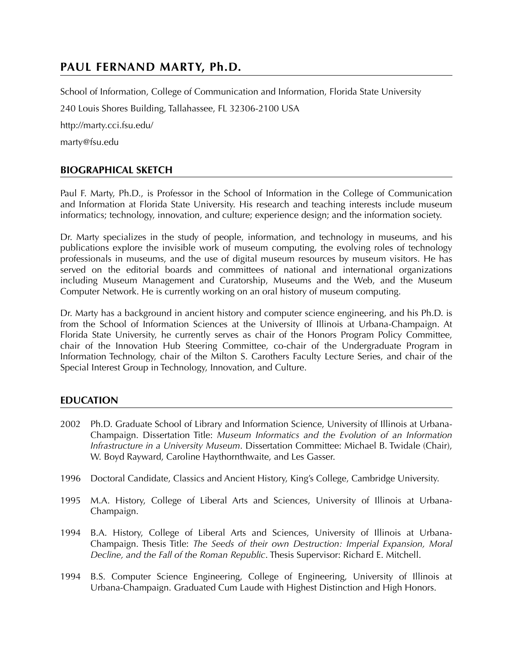# **PAUL FERNAND MARTY, Ph.D.**

School of Information, College of Communication and Information, Florida State University 240 Louis Shores Building, Tallahassee, FL 32306-2100 USA http://marty.cci.fsu.edu/ marty@fsu.edu

## **BIOGRAPHICAL SKETCH**

Paul F. Marty, Ph.D., is Professor in the School of Information in the College of Communication and Information at Florida State University. His research and teaching interests include museum informatics; technology, innovation, and culture; experience design; and the information society.

Dr. Marty specializes in the study of people, information, and technology in museums, and his publications explore the invisible work of museum computing, the evolving roles of technology professionals in museums, and the use of digital museum resources by museum visitors. He has served on the editorial boards and committees of national and international organizations including Museum Management and Curatorship, Museums and the Web, and the Museum Computer Network. He is currently working on an oral history of museum computing.

Dr. Marty has a background in ancient history and computer science engineering, and his Ph.D. is from the School of Information Sciences at the University of Illinois at Urbana-Champaign. At Florida State University, he currently serves as chair of the Honors Program Policy Committee, chair of the Innovation Hub Steering Committee, co-chair of the Undergraduate Program in Information Technology, chair of the Milton S. Carothers Faculty Lecture Series, and chair of the Special Interest Group in Technology, Innovation, and Culture.

## **EDUCATION**

- 2002 Ph.D. Graduate School of Library and Information Science, University of Illinois at Urbana-Champaign. Dissertation Title: *Museum Informatics and the Evolution of an Information Infrastructure in a University Museum*. Dissertation Committee: Michael B. Twidale (Chair), W. Boyd Rayward, Caroline Haythornthwaite, and Les Gasser.
- 1996 Doctoral Candidate, Classics and Ancient History, King's College, Cambridge University.
- 1995 M.A. History, College of Liberal Arts and Sciences, University of Illinois at Urbana-Champaign.
- 1994 B.A. History, College of Liberal Arts and Sciences, University of Illinois at Urbana-Champaign. Thesis Title: *The Seeds of their own Destruction: Imperial Expansion, Moral Decline, and the Fall of the Roman Republic*. Thesis Supervisor: Richard E. Mitchell.
- 1994 B.S. Computer Science Engineering, College of Engineering, University of Illinois at Urbana-Champaign. Graduated Cum Laude with Highest Distinction and High Honors.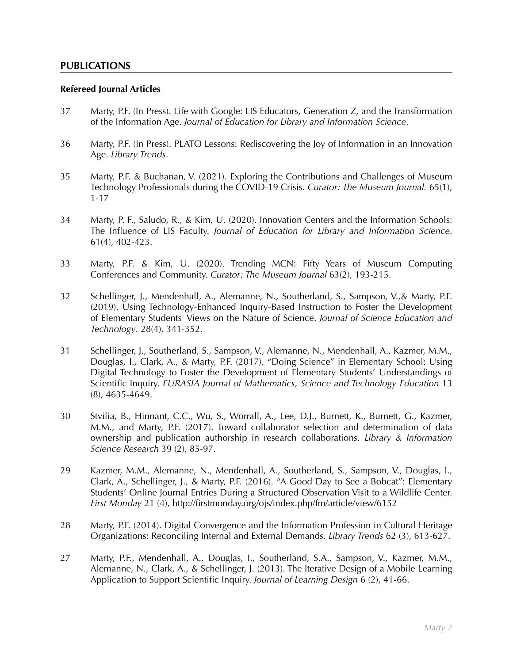## **PUBLICATIONS**

#### **Refereed Journal Articles**

- 37 Marty, P.F. (In Press). Life with Google: LIS Educators, Generation Z, and the Transformation of the Information Age. *Journal of Education for Library and Information Science*.
- 36 Marty, P.F. (In Press). PLATO Lessons: Rediscovering the Joy of Information in an Innovation Age. *Library Trends*.
- 35 Marty, P.F. & Buchanan, V. (2021). Exploring the Contributions and Challenges of Museum Technology Professionals during the COVID-19 Crisis. *Curator: The Museum Journal.* 65(1), 1-17
- 34 Marty, P. F., Saludo, R., & Kim, U. (2020). Innovation Centers and the Information Schools: The Influence of LIS Faculty. *Journal of Education for Library and Information Science*. 61(4), 402-423.
- 33 Marty, P.F. & Kim, U. (2020). Trending MCN: Fifty Years of Museum Computing Conferences and Community. *Curator: The Museum Journal* 63(2), 193-215.
- 32 Schellinger, J., Mendenhall, A., Alemanne, N., Southerland, S., Sampson, V.,& Marty, P.F. (2019). Using Technology-Enhanced Inquiry-Based Instruction to Foster the Development of Elementary Students' Views on the Nature of Science. *Journal of Science Education and Technology*. 28(4), 341-352.
- 31 Schellinger, J., Southerland, S., Sampson, V., Alemanne, N., Mendenhall, A., Kazmer, M.M., Douglas, I., Clark, A., & Marty, P.F. (2017). "Doing Science" in Elementary School: Using Digital Technology to Foster the Development of Elementary Students' Understandings of Scientific Inquiry. *EURASIA Journal of Mathematics, Science and Technology Education* 13 (8), 4635-4649.
- 30 Stvilia, B., Hinnant, C.C., Wu, S., Worrall, A., Lee, D.J., Burnett, K., Burnett, G., Kazmer, M.M., and Marty, P.F. (2017). Toward collaborator selection and determination of data ownership and publication authorship in research collaborations. *Library & Information Science Research* 39 (2), 85-97.
- 29 Kazmer, M.M., Alemanne, N., Mendenhall, A., Southerland, S., Sampson, V., Douglas, I., Clark, A., Schellinger, J., & Marty, P.F. (2016). "A Good Day to See a Bobcat": Elementary Students' Online Journal Entries During a Structured Observation Visit to a Wildlife Center. *First Monday* 21 (4), http://firstmonday.org/ojs/index.php/fm/article/view/6152
- 28 Marty, P.F. (2014). Digital Convergence and the Information Profession in Cultural Heritage Organizations: Reconciling Internal and External Demands. *Library Trends* 62 (3), 613-627.
- 27 Marty, P.F., Mendenhall, A., Douglas, I., Southerland, S.A., Sampson, V., Kazmer, M.M., Alemanne, N., Clark, A., & Schellinger, J. (2013). The Iterative Design of a Mobile Learning Application to Support Scientific Inquiry. *Journal of Learning Design* 6 (2), 41-66.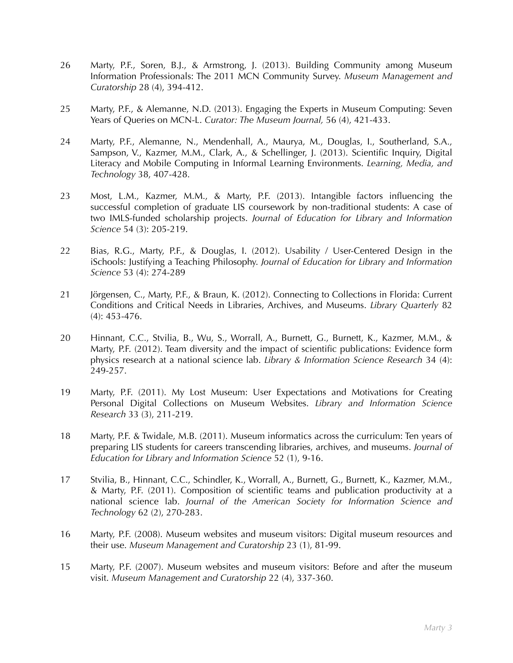- 26 Marty, P.F., Soren, B.J., & Armstrong, J. (2013). Building Community among Museum Information Professionals: The 2011 MCN Community Survey. *Museum Management and Curatorship* 28 (4), 394-412.
- 25 Marty, P.F., & Alemanne, N.D. (2013). Engaging the Experts in Museum Computing: Seven Years of Queries on MCN-L. *Curator: The Museum Journal,* 56 (4), 421-433.
- 24 Marty, P.F., Alemanne, N., Mendenhall, A., Maurya, M., Douglas, I., Southerland, S.A., Sampson, V., Kazmer, M.M., Clark, A., & Schellinger, J. (2013). Scientific Inquiry, Digital Literacy and Mobile Computing in Informal Learning Environments. *Learning, Media, and Technology* 38, 407-428.
- 23 Most, L.M., Kazmer, M.M., & Marty, P.F. (2013). Intangible factors influencing the successful completion of graduate LIS coursework by non-traditional students: A case of two IMLS-funded scholarship projects. *Journal of Education for Library and Information Science* 54 (3): 205-219.
- 22 Bias, R.G., Marty, P.F., & Douglas, I. (2012). Usability / User-Centered Design in the iSchools: Justifying a Teaching Philosophy. *Journal of Education for Library and Information Science* 53 (4): 274-289
- 21 Jörgensen, C., Marty, P.F., & Braun, K. (2012). Connecting to Collections in Florida: Current Conditions and Critical Needs in Libraries, Archives, and Museums. *Library Quarterly* 82 (4): 453-476.
- 20 Hinnant, C.C., Stvilia, B., Wu, S., Worrall, A., Burnett, G., Burnett, K., Kazmer, M.M., & Marty, P.F. (2012). Team diversity and the impact of scientific publications: Evidence form physics research at a national science lab. *Library & Information Science Research* 34 (4): 249-257.
- 19 Marty, P.F. (2011). My Lost Museum: User Expectations and Motivations for Creating Personal Digital Collections on Museum Websites. *Library and Information Science Research* 33 (3), 211-219.
- 18 Marty, P.F. & Twidale, M.B. (2011). Museum informatics across the curriculum: Ten years of preparing LIS students for careers transcending libraries, archives, and museums. *Journal of Education for Library and Information Science* 52 (1), 9-16.
- 17 Stvilia, B., Hinnant, C.C., Schindler, K., Worrall, A., Burnett, G., Burnett, K., Kazmer, M.M., & Marty, P.F. (2011). Composition of scientific teams and publication productivity at a national science lab. *Journal of the American Society for Information Science and Technology* 62 (2), 270-283.
- 16 Marty, P.F. (2008). Museum websites and museum visitors: Digital museum resources and their use. *Museum Management and Curatorship* 23 (1), 81-99.
- 15 Marty, P.F. (2007). Museum websites and museum visitors: Before and after the museum visit. *Museum Management and Curatorship* 22 (4), 337-360.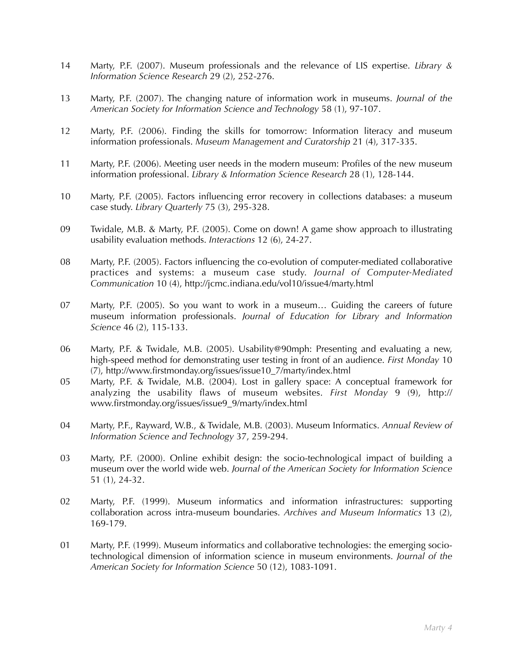- 14 Marty, P.F. (2007). Museum professionals and the relevance of LIS expertise. *Library & Information Science Research* 29 (2), 252-276.
- 13 Marty, P.F. (2007). The changing nature of information work in museums. *Journal of the American Society for Information Science and Technology* 58 (1), 97-107.
- 12 Marty, P.F. (2006). Finding the skills for tomorrow: Information literacy and museum information professionals. *Museum Management and Curatorship* 21 (4), 317-335.
- 11 Marty, P.F. (2006). Meeting user needs in the modern museum: Profiles of the new museum information professional. *Library & Information Science Research* 28 (1), 128-144.
- 10 Marty, P.F. (2005). Factors influencing error recovery in collections databases: a museum case study. *Library Quarterly* 75 (3), 295-328.
- 09 Twidale, M.B. & Marty, P.F. (2005). Come on down! A game show approach to illustrating usability evaluation methods. *Interactions* 12 (6), 24-27.
- 08 Marty, P.F. (2005). Factors influencing the co-evolution of computer-mediated collaborative practices and systems: a museum case study. *Journal of Computer-Mediated Communication* 10 (4), http://jcmc.indiana.edu/vol10/issue4/marty.html
- 07 Marty, P.F. (2005). So you want to work in a museum… Guiding the careers of future museum information professionals. *Journal of Education for Library and Information Science* 46 (2), 115-133.
- 06 Marty, P.F. & Twidale, M.B. (2005). Usability@90mph: Presenting and evaluating a new, high-speed method for demonstrating user testing in front of an audience. *First Monday* 10 (7), http://www.firstmonday.org/issues/issue10\_7/marty/index.html
- 05 Marty, P.F. & Twidale, M.B. (2004). Lost in gallery space: A conceptual framework for analyzing the usability flaws of museum websites. *First Monday* 9 (9), http:// www.firstmonday.org/issues/issue9\_9/marty/index.html
- 04 Marty, P.F., Rayward, W.B., & Twidale, M.B. (2003). Museum Informatics. *Annual Review of Information Science and Technology* 37, 259-294.
- 03 Marty, P.F. (2000). Online exhibit design: the socio-technological impact of building a museum over the world wide web. *Journal of the American Society for Information Science* 51 (1), 24-32.
- 02 Marty, P.F. (1999). Museum informatics and information infrastructures: supporting collaboration across intra-museum boundaries. *Archives and Museum Informatics* 13 (2), 169-179.
- 01 Marty, P.F. (1999). Museum informatics and collaborative technologies: the emerging sociotechnological dimension of information science in museum environments. *Journal of the American Society for Information Science* 50 (12), 1083-1091.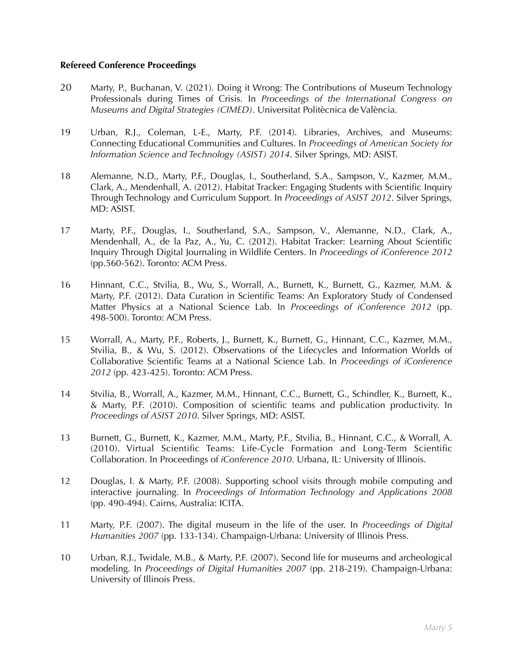### **Refereed Conference Proceedings**

- 20 Marty, P., Buchanan, V. (2021). Doing it Wrong: The Contributions of Museum Technology Professionals during Times of Crisis. In *Proceedings of the International Congress on Museums and Digital Strategies (CIMED)*. Universitat Politècnica de València.
- 19 Urban, R.J., Coleman, L-E., Marty, P.F. (2014). Libraries, Archives, and Museums: Connecting Educational Communities and Cultures. In *Proceedings of American Society for Information Science and Technology (ASIST) 2014*. Silver Springs, MD: ASIST.
- 18 Alemanne, N.D., Marty, P.F., Douglas, I., Southerland, S.A., Sampson, V., Kazmer, M.M., Clark, A., Mendenhall, A. (2012). Habitat Tracker: Engaging Students with Scientific Inquiry Through Technology and Curriculum Support. In *Proceedings of ASIST 2012*. Silver Springs, MD: ASIST.
- 17 Marty, P.F., Douglas, I., Southerland, S.A., Sampson, V., Alemanne, N.D., Clark, A., Mendenhall, A., de la Paz, A., Yu, C. (2012). Habitat Tracker: Learning About Scientific Inquiry Through Digital Journaling in Wildlife Centers. In *Proceedings of iConference 2012* (pp.560-562). Toronto: ACM Press.
- 16 Hinnant, C.C., Stvilia, B., Wu, S., Worrall, A., Burnett, K., Burnett, G., Kazmer, M.M. & Marty, P.F. (2012). Data Curation in Scientific Teams: An Exploratory Study of Condensed Matter Physics at a National Science Lab. In *Proceedings of iConference 2012* (pp. 498-500). Toronto: ACM Press.
- 15 Worrall, A., Marty, P.F., Roberts, J., Burnett, K., Burnett, G., Hinnant, C.C., Kazmer, M.M., Stvilia, B., & Wu, S. (2012). Observations of the Lifecycles and Information Worlds of Collaborative Scientific Teams at a National Science Lab. In *Proceedings of iConference 2012* (pp. 423-425). Toronto: ACM Press.
- 14 Stvilia, B., Worrall, A., Kazmer, M.M., Hinnant, C.C., Burnett, G., Schindler, K., Burnett, K., & Marty, P.F. (2010). Composition of scientific teams and publication productivity. In *Proceedings of ASIST 2010*. Silver Springs, MD: ASIST.
- 13 Burnett, G., Burnett, K., Kazmer, M.M., Marty, P.F., Stvilia, B., Hinnant, C.C., & Worrall, A. (2010). Virtual Scientific Teams: Life-Cycle Formation and Long-Term Scientific Collaboration. In Proceedings of *iConference 2010*. Urbana, IL: University of Illinois.
- 12 Douglas, I. & Marty, P.F. (2008). Supporting school visits through mobile computing and interactive journaling. In *Proceedings of Information Technology and Applications 2008* (pp. 490-494). Cairns, Australia: ICITA.
- 11 Marty, P.F. (2007). The digital museum in the life of the user. In *Proceedings of Digital Humanities 2007* (pp. 133-134). Champaign-Urbana: University of Illinois Press.
- 10 Urban, R.J., Twidale, M.B., & Marty, P.F. (2007). Second life for museums and archeological modeling. In *Proceedings of Digital Humanities 2007* (pp. 218-219). Champaign-Urbana: University of Illinois Press.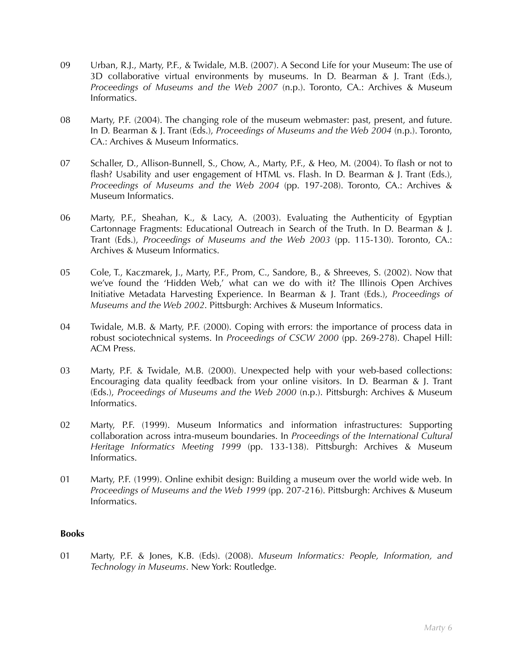- 09 Urban, R.J., Marty, P.F., & Twidale, M.B. (2007). A Second Life for your Museum: The use of 3D collaborative virtual environments by museums. In D. Bearman & J. Trant (Eds.), *Proceedings of Museums and the Web 2007* (n.p.). Toronto, CA.: Archives & Museum Informatics.
- 08 Marty, P.F. (2004). The changing role of the museum webmaster: past, present, and future. In D. Bearman & J. Trant (Eds.), *Proceedings of Museums and the Web 2004* (n.p.). Toronto, CA.: Archives & Museum Informatics.
- 07 Schaller, D., Allison-Bunnell, S., Chow, A., Marty, P.F., & Heo, M. (2004). To flash or not to flash? Usability and user engagement of HTML vs. Flash. In D. Bearman & J. Trant (Eds.), *Proceedings of Museums and the Web 2004* (pp. 197-208). Toronto, CA.: Archives & Museum Informatics.
- 06 Marty, P.F., Sheahan, K., & Lacy, A. (2003). Evaluating the Authenticity of Egyptian Cartonnage Fragments: Educational Outreach in Search of the Truth. In D. Bearman & J. Trant (Eds.), *Proceedings of Museums and the Web 2003* (pp. 115-130). Toronto, CA.: Archives & Museum Informatics.
- 05 Cole, T., Kaczmarek, J., Marty, P.F., Prom, C., Sandore, B., & Shreeves, S. (2002). Now that we've found the 'Hidden Web,' what can we do with it? The Illinois Open Archives Initiative Metadata Harvesting Experience. In Bearman & J. Trant (Eds.), *Proceedings of Museums and the Web 2002*. Pittsburgh: Archives & Museum Informatics.
- 04 Twidale, M.B. & Marty, P.F. (2000). Coping with errors: the importance of process data in robust sociotechnical systems. In *Proceedings of CSCW 2000* (pp. 269-278). Chapel Hill: ACM Press.
- 03 Marty, P.F. & Twidale, M.B. (2000). Unexpected help with your web-based collections: Encouraging data quality feedback from your online visitors. In D. Bearman & J. Trant (Eds.), *Proceedings of Museums and the Web 2000* (n.p.). Pittsburgh: Archives & Museum Informatics.
- 02 Marty, P.F. (1999). Museum Informatics and information infrastructures: Supporting collaboration across intra-museum boundaries. In *Proceedings of the International Cultural Heritage Informatics Meeting 1999* (pp. 133-138). Pittsburgh: Archives & Museum Informatics.
- 01 Marty, P.F. (1999). Online exhibit design: Building a museum over the world wide web. In *Proceedings of Museums and the Web 1999* (pp. 207-216). Pittsburgh: Archives & Museum Informatics.

## **Books**

01 Marty, P.F. & Jones, K.B. (Eds). (2008). *Museum Informatics: People, Information, and Technology in Museums*. New York: Routledge.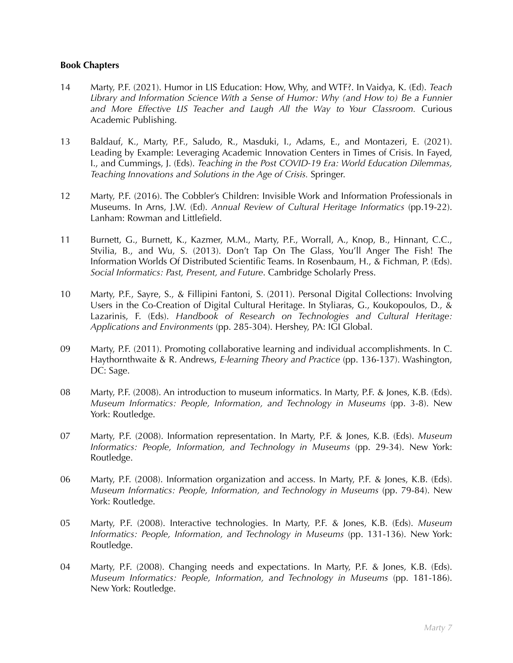### **Book Chapters**

- 14 Marty, P.F. (2021). Humor in LIS Education: How, Why, and WTF?. In Vaidya, K. (Ed). *Teach Library and Information Science With a Sense of Humor: Why (and How to) Be a Funnier and More Effective LIS Teacher and Laugh All the Way to Your Classroom.* Curious Academic Publishing.
- 13 Baldauf, K., Marty, P.F., Saludo, R., Masduki, I., Adams, E., and Montazeri, E. (2021). Leading by Example: Leveraging Academic Innovation Centers in Times of Crisis. In Fayed, I., and Cummings, J. (Eds). *Teaching in the Post COVID-19 Era: World Education Dilemmas, Teaching Innovations and Solutions in the Age of Crisis.* Springer.
- 12 Marty, P.F. (2016). The Cobbler's Children: Invisible Work and Information Professionals in Museums. In Arns, J.W. (Ed). *Annual Review of Cultural Heritage Informatics* (pp.19-22). Lanham: Rowman and Littlefield.
- 11 Burnett, G., Burnett, K., Kazmer, M.M., Marty, P.F., Worrall, A., Knop, B., Hinnant, C.C., Stvilia, B., and Wu, S. (2013). Don't Tap On The Glass, You'll Anger The Fish! The Information Worlds Of Distributed Scientific Teams. In Rosenbaum, H., & Fichman, P. (Eds). *Social Informatics: Past, Present, and Future*. Cambridge Scholarly Press.
- 10 Marty, P.F., Sayre, S., & Fillipini Fantoni, S. (2011). Personal Digital Collections: Involving Users in the Co-Creation of Digital Cultural Heritage. In Styliaras, G., Koukopoulos, D., & Lazarinis, F. (Eds). *Handbook of Research on Technologies and Cultural Heritage: Applications and Environments* (pp. 285-304). Hershey, PA: IGI Global.
- 09 Marty, P.F. (2011). Promoting collaborative learning and individual accomplishments. In C. Haythornthwaite & R. Andrews, *E-learning Theory and Practice* (pp. 136-137). Washington, DC: Sage.
- 08 Marty, P.F. (2008). An introduction to museum informatics. In Marty, P.F. & Jones, K.B. (Eds). *Museum Informatics: People, Information, and Technology in Museums* (pp. 3-8). New York: Routledge.
- 07 Marty, P.F. (2008). Information representation. In Marty, P.F. & Jones, K.B. (Eds). *Museum Informatics: People, Information, and Technology in Museums* (pp. 29-34). New York: Routledge.
- 06 Marty, P.F. (2008). Information organization and access. In Marty, P.F. & Jones, K.B. (Eds). *Museum Informatics: People, Information, and Technology in Museums* (pp. 79-84). New York: Routledge.
- 05 Marty, P.F. (2008). Interactive technologies. In Marty, P.F. & Jones, K.B. (Eds). *Museum Informatics: People, Information, and Technology in Museums* (pp. 131-136). New York: Routledge.
- 04 Marty, P.F. (2008). Changing needs and expectations. In Marty, P.F. & Jones, K.B. (Eds). *Museum Informatics: People, Information, and Technology in Museums* (pp. 181-186). New York: Routledge.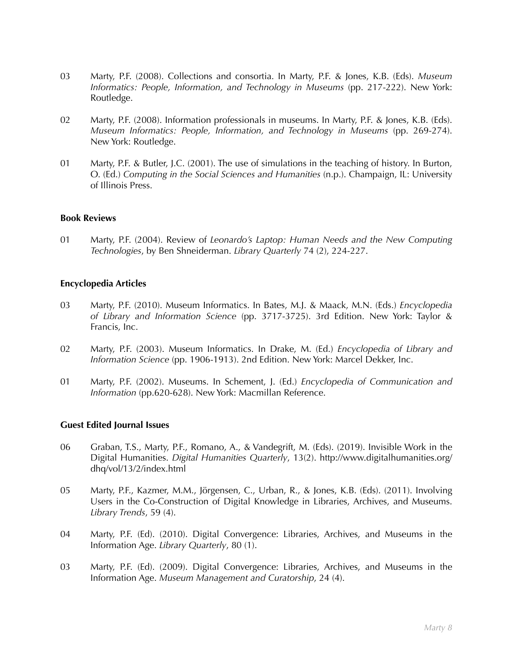- 03 Marty, P.F. (2008). Collections and consortia. In Marty, P.F. & Jones, K.B. (Eds). *Museum Informatics: People, Information, and Technology in Museums* (pp. 217-222). New York: Routledge.
- 02 Marty, P.F. (2008). Information professionals in museums. In Marty, P.F. & Jones, K.B. (Eds). *Museum Informatics: People, Information, and Technology in Museums* (pp. 269-274). New York: Routledge.
- 01 Marty, P.F. & Butler, J.C. (2001). The use of simulations in the teaching of history. In Burton, O. (Ed.) *Computing in the Social Sciences and Humanities* (n.p.). Champaign, IL: University of Illinois Press.

### **Book Reviews**

01 Marty, P.F. (2004). Review of *Leonardo's Laptop: Human Needs and the New Computing Technologies*, by Ben Shneiderman. *Library Quarterly* 74 (2), 224-227.

#### **Encyclopedia Articles**

- 03 Marty, P.F. (2010). Museum Informatics. In Bates, M.J. & Maack, M.N. (Eds.) *Encyclopedia of Library and Information Science* (pp. 3717-3725). 3rd Edition. New York: Taylor & Francis, Inc.
- 02 Marty, P.F. (2003). Museum Informatics. In Drake, M. (Ed.) *Encyclopedia of Library and Information Science* (pp. 1906-1913). 2nd Edition. New York: Marcel Dekker, Inc.
- 01 Marty, P.F. (2002). Museums. In Schement, J. (Ed.) *Encyclopedia of Communication and Information* (pp.620-628). New York: Macmillan Reference.

#### **Guest Edited Journal Issues**

- 06 Graban, T.S., Marty, P.F., Romano, A., & Vandegrift, M. (Eds). (2019). Invisible Work in the Digital Humanities. *Digital Humanities Quarterly*, 13(2). http://www.digitalhumanities.org/ dhq/vol/13/2/index.html
- 05 Marty, P.F., Kazmer, M.M., Jörgensen, C., Urban, R., & Jones, K.B. (Eds). (2011). Involving Users in the Co-Construction of Digital Knowledge in Libraries, Archives, and Museums. *Library Trends*, 59 (4).
- 04 Marty, P.F. (Ed). (2010). Digital Convergence: Libraries, Archives, and Museums in the Information Age. *Library Quarterly*, 80 (1).
- 03 Marty, P.F. (Ed). (2009). Digital Convergence: Libraries, Archives, and Museums in the Information Age. *Museum Management and Curatorship*, 24 (4).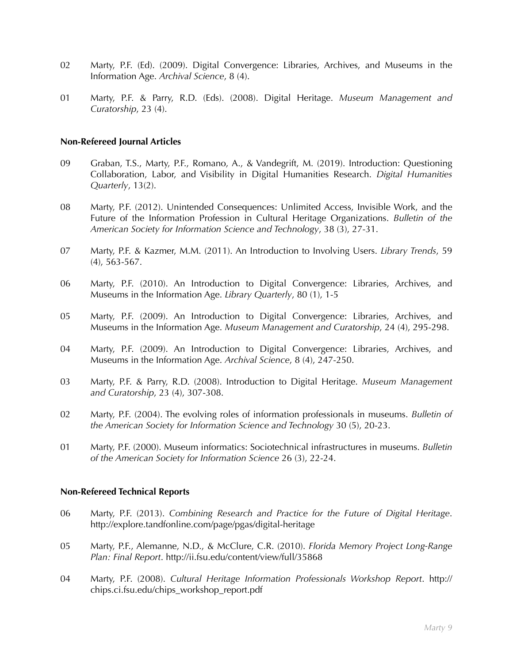- 02 Marty, P.F. (Ed). (2009). Digital Convergence: Libraries, Archives, and Museums in the Information Age. *Archival Science*, 8 (4).
- 01 Marty, P.F. & Parry, R.D. (Eds). (2008). Digital Heritage. *Museum Management and Curatorship*, 23 (4).

#### **Non-Refereed Journal Articles**

- 09 Graban, T.S., Marty, P.F., Romano, A., & Vandegrift, M. (2019). Introduction: Questioning Collaboration, Labor, and Visibility in Digital Humanities Research. *Digital Humanities Quarterly*, 13(2).
- 08 Marty, P.F. (2012). Unintended Consequences: Unlimited Access, Invisible Work, and the Future of the Information Profession in Cultural Heritage Organizations. *Bulletin of the American Society for Information Science and Technology*, 38 (3), 27-31.
- 07 Marty, P.F. & Kazmer, M.M. (2011). An Introduction to Involving Users. *Library Trends*, 59 (4), 563-567.
- 06 Marty, P.F. (2010). An Introduction to Digital Convergence: Libraries, Archives, and Museums in the Information Age. *Library Quarterly*, 80 (1), 1-5
- 05 Marty, P.F. (2009). An Introduction to Digital Convergence: Libraries, Archives, and Museums in the Information Age. *Museum Management and Curatorship*, 24 (4), 295-298.
- 04 Marty, P.F. (2009). An Introduction to Digital Convergence: Libraries, Archives, and Museums in the Information Age. *Archival Science*, 8 (4), 247-250.
- 03 Marty, P.F. & Parry, R.D. (2008). Introduction to Digital Heritage. *Museum Management and Curatorship*, 23 (4), 307-308.
- 02 Marty, P.F. (2004). The evolving roles of information professionals in museums. *Bulletin of the American Society for Information Science and Technology* 30 (5), 20-23.
- 01 Marty, P.F. (2000). Museum informatics: Sociotechnical infrastructures in museums. *Bulletin of the American Society for Information Science* 26 (3), 22-24.

#### **Non-Refereed Technical Reports**

- 06 Marty, P.F. (2013). *Combining Research and Practice for the Future of Digital Heritage*. http://explore.tandfonline.com/page/pgas/digital-heritage
- 05 Marty, P.F., Alemanne, N.D., & McClure, C.R. (2010). *Florida Memory Project Long-Range Plan: Final Report*. http://ii.fsu.edu/content/view/full/35868
- 04 Marty, P.F. (2008). *Cultural Heritage Information Professionals Workshop Report*. http:// chips.ci.fsu.edu/chips\_workshop\_report.pdf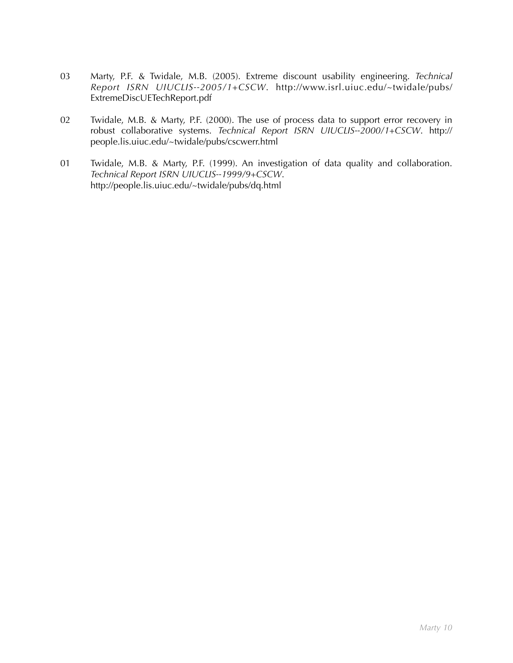- 03 Marty, P.F. & Twidale, M.B. (2005). Extreme discount usability engineering. *Technical Report ISRN UIUCLIS--2005/1+CSCW*. http://www.isrl.uiuc.edu/~twidale/pubs/ ExtremeDiscUETechReport.pdf
- 02 Twidale, M.B. & Marty, P.F. (2000). The use of process data to support error recovery in robust collaborative systems. *Technical Report ISRN UIUCLIS--2000/1+CSCW*. http:// people.lis.uiuc.edu/~twidale/pubs/cscwerr.html
- 01 Twidale, M.B. & Marty, P.F. (1999). An investigation of data quality and collaboration. *Technical Report ISRN UIUCLIS--1999/9+CSCW*. http://people.lis.uiuc.edu/~twidale/pubs/dq.html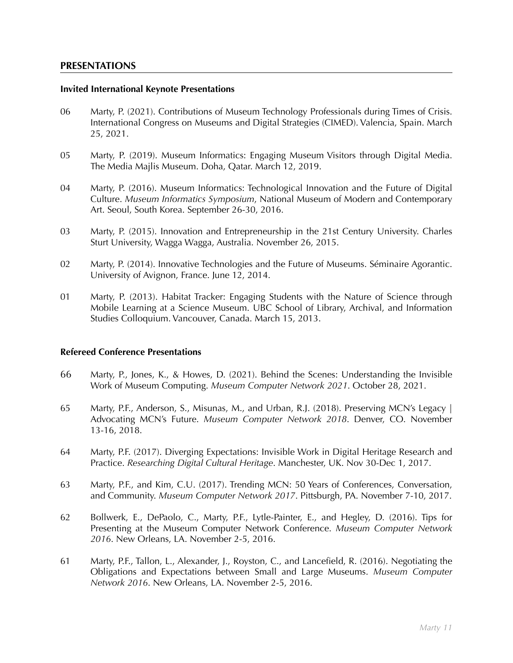### **PRESENTATIONS**

#### **Invited International Keynote Presentations**

- 06 Marty, P. (2021). Contributions of Museum Technology Professionals during Times of Crisis. International Congress on Museums and Digital Strategies (CIMED). Valencia, Spain. March 25, 2021.
- 05 Marty, P. (2019). Museum Informatics: Engaging Museum Visitors through Digital Media. The Media Majlis Museum. Doha, Qatar. March 12, 2019.
- 04 Marty, P. (2016). Museum Informatics: Technological Innovation and the Future of Digital Culture. *Museum Informatics Symposium*, National Museum of Modern and Contemporary Art. Seoul, South Korea. September 26-30, 2016.
- 03 Marty, P. (2015). Innovation and Entrepreneurship in the 21st Century University. Charles Sturt University, Wagga Wagga, Australia. November 26, 2015.
- 02 Marty, P. (2014). Innovative Technologies and the Future of Museums. Séminaire Agorantic. University of Avignon, France. June 12, 2014.
- 01 Marty, P. (2013). Habitat Tracker: Engaging Students with the Nature of Science through Mobile Learning at a Science Museum. UBC School of Library, Archival, and Information Studies Colloquium. Vancouver, Canada. March 15, 2013.

### **Refereed Conference Presentations**

- 66 Marty, P., Jones, K., & Howes, D. (2021). Behind the Scenes: Understanding the Invisible Work of Museum Computing. *Museum Computer Network 2021*. October 28, 2021.
- 65 Marty, P.F., Anderson, S., Misunas, M., and Urban, R.J. (2018). Preserving MCN's Legacy | Advocating MCN's Future. *Museum Computer Network 2018*. Denver, CO. November 13-16, 2018.
- 64 Marty, P.F. (2017). Diverging Expectations: Invisible Work in Digital Heritage Research and Practice. *Researching Digital Cultural Heritage*. Manchester, UK. Nov 30-Dec 1, 2017.
- 63 Marty, P.F., and Kim, C.U. (2017). Trending MCN: 50 Years of Conferences, Conversation, and Community. *Museum Computer Network 2017*. Pittsburgh, PA. November 7-10, 2017.
- 62 Bollwerk, E., DePaolo, C., Marty, P.F., Lytle-Painter, E., and Hegley, D. (2016). Tips for Presenting at the Museum Computer Network Conference. *Museum Computer Network 2016*. New Orleans, LA. November 2-5, 2016.
- 61 Marty, P.F., Tallon, L., Alexander, J., Royston, C., and Lancefield, R. (2016). Negotiating the Obligations and Expectations between Small and Large Museums. *Museum Computer Network 2016*. New Orleans, LA. November 2-5, 2016.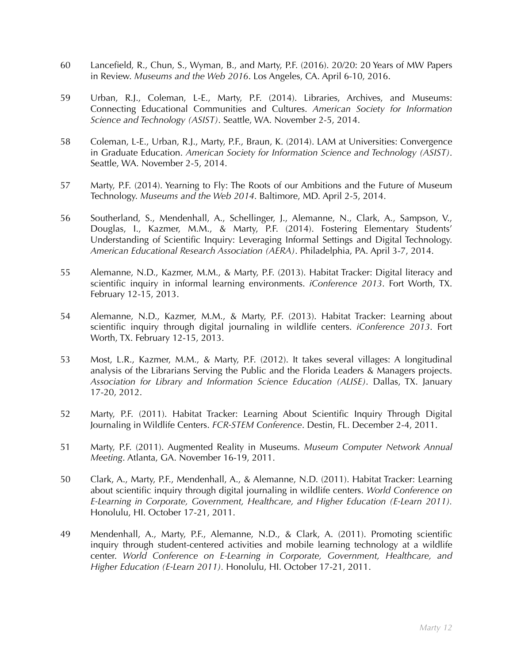- 60 Lancefield, R., Chun, S., Wyman, B., and Marty, P.F. (2016). 20/20: 20 Years of MW Papers in Review. *Museums and the Web 2016*. Los Angeles, CA. April 6-10, 2016.
- 59 Urban, R.J., Coleman, L-E., Marty, P.F. (2014). Libraries, Archives, and Museums: Connecting Educational Communities and Cultures. *American Society for Information Science and Technology (ASIST)*. Seattle, WA. November 2-5, 2014.
- 58 Coleman, L-E., Urban, R.J., Marty, P.F., Braun, K. (2014). LAM at Universities: Convergence in Graduate Education. *American Society for Information Science and Technology (ASIST)*. Seattle, WA. November 2-5, 2014.
- 57 Marty, P.F. (2014). Yearning to Fly: The Roots of our Ambitions and the Future of Museum Technology. *Museums and the Web 2014*. Baltimore, MD. April 2-5, 2014.
- 56 Southerland, S., Mendenhall, A., Schellinger, J., Alemanne, N., Clark, A., Sampson, V., Douglas, I., Kazmer, M.M., & Marty, P.F. (2014). Fostering Elementary Students' Understanding of Scientific Inquiry: Leveraging Informal Settings and Digital Technology. *American Educational Research Association (AERA)*. Philadelphia, PA. April 3-7, 2014.
- 55 Alemanne, N.D., Kazmer, M.M., & Marty, P.F. (2013). Habitat Tracker: Digital literacy and scientific inquiry in informal learning environments. *iConference 2013*. Fort Worth, TX. February 12-15, 2013.
- 54 Alemanne, N.D., Kazmer, M.M., & Marty, P.F. (2013). Habitat Tracker: Learning about scientific inquiry through digital journaling in wildlife centers. *iConference 2013*. Fort Worth, TX. February 12-15, 2013.
- 53 Most, L.R., Kazmer, M.M., & Marty, P.F. (2012). It takes several villages: A longitudinal analysis of the Librarians Serving the Public and the Florida Leaders & Managers projects. *Association for Library and Information Science Education (ALISE)*. Dallas, TX. January 17-20, 2012.
- 52 Marty, P.F. (2011). Habitat Tracker: Learning About Scientific Inquiry Through Digital Journaling in Wildlife Centers. *FCR-STEM Conference*. Destin, FL. December 2-4, 2011.
- 51 Marty, P.F. (2011). Augmented Reality in Museums. *Museum Computer Network Annual Meeting*. Atlanta, GA. November 16-19, 2011.
- 50 Clark, A., Marty, P.F., Mendenhall, A., & Alemanne, N.D. (2011). Habitat Tracker: Learning about scientific inquiry through digital journaling in wildlife centers. *World Conference on E-Learning in Corporate, Government, Healthcare, and Higher Education (E-Learn 2011).* Honolulu, HI. October 17-21, 2011.
- 49 Mendenhall, A., Marty, P.F., Alemanne, N.D., & Clark, A. (2011). Promoting scientific inquiry through student-centered activities and mobile learning technology at a wildlife center. *World Conference on E-Learning in Corporate, Government, Healthcare, and Higher Education (E-Learn 2011).* Honolulu, HI. October 17-21, 2011.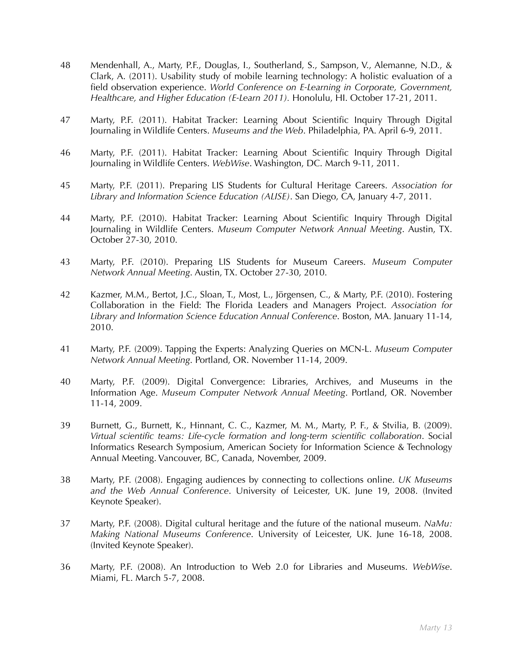- 48 Mendenhall, A., Marty, P.F., Douglas, I., Southerland, S., Sampson, V., Alemanne, N.D., & Clark, A. (2011). Usability study of mobile learning technology: A holistic evaluation of a field observation experience. *World Conference on E-Learning in Corporate, Government, Healthcare, and Higher Education (E-Learn 2011).* Honolulu, HI. October 17-21, 2011.
- 47 Marty, P.F. (2011). Habitat Tracker: Learning About Scientific Inquiry Through Digital Journaling in Wildlife Centers. *Museums and the Web*. Philadelphia, PA. April 6-9, 2011.
- 46 Marty, P.F. (2011). Habitat Tracker: Learning About Scientific Inquiry Through Digital Journaling in Wildlife Centers. *WebWise*. Washington, DC. March 9-11, 2011.
- 45 Marty, P.F. (2011). Preparing LIS Students for Cultural Heritage Careers. *Association for Library and Information Science Education (ALISE)*. San Diego, CA, January 4-7, 2011.
- 44 Marty, P.F. (2010). Habitat Tracker: Learning About Scientific Inquiry Through Digital Journaling in Wildlife Centers. *Museum Computer Network Annual Meeting*. Austin, TX. October 27-30, 2010.
- 43 Marty, P.F. (2010). Preparing LIS Students for Museum Careers. *Museum Computer Network Annual Meeting*. Austin, TX. October 27-30, 2010.
- 42 Kazmer, M.M., Bertot, J.C., Sloan, T., Most, L., Jörgensen, C., & Marty, P.F. (2010). Fostering Collaboration in the Field: The Florida Leaders and Managers Project. *Association for Library and Information Science Education Annual Conference*. Boston, MA. January 11-14, 2010.
- 41 Marty, P.F. (2009). Tapping the Experts: Analyzing Queries on MCN-L. *Museum Computer Network Annual Meeting*. Portland, OR. November 11-14, 2009.
- 40 Marty, P.F. (2009). Digital Convergence: Libraries, Archives, and Museums in the Information Age. *Museum Computer Network Annual Meeting*. Portland, OR. November 11-14, 2009.
- 39 Burnett, G., Burnett, K., Hinnant, C. C., Kazmer, M. M., Marty, P. F., & Stvilia, B. (2009). *Virtual scientific teams: Life-cycle formation and long-term scientific collaboration*. Social Informatics Research Symposium, American Society for Information Science & Technology Annual Meeting. Vancouver, BC, Canada, November, 2009.
- 38 Marty, P.F. (2008). Engaging audiences by connecting to collections online. *UK Museums and the Web Annual Conference*. University of Leicester, UK. June 19, 2008. (Invited Keynote Speaker).
- 37 Marty, P.F. (2008). Digital cultural heritage and the future of the national museum. *NaMu: Making National Museums Conference*. University of Leicester, UK. June 16-18, 2008. (Invited Keynote Speaker).
- 36 Marty, P.F. (2008). An Introduction to Web 2.0 for Libraries and Museums. *WebWise*. Miami, FL. March 5-7, 2008.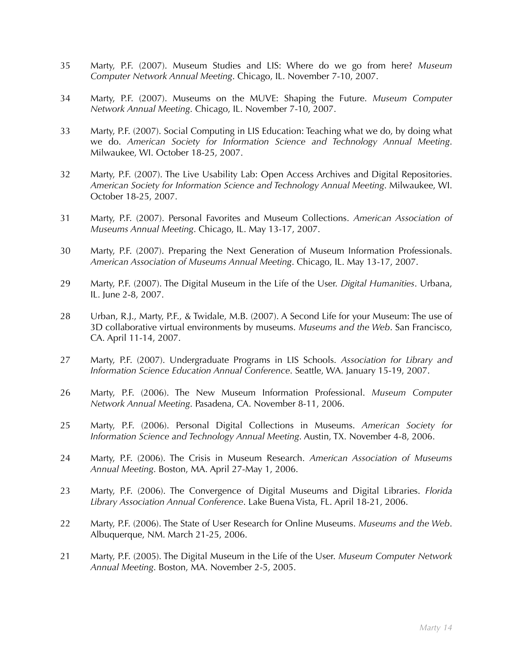- 35 Marty, P.F. (2007). Museum Studies and LIS: Where do we go from here? *Museum Computer Network Annual Meeting*. Chicago, IL. November 7-10, 2007.
- 34 Marty, P.F. (2007). Museums on the MUVE: Shaping the Future. *Museum Computer Network Annual Meeting*. Chicago, IL. November 7-10, 2007.
- 33 Marty, P.F. (2007). Social Computing in LIS Education: Teaching what we do, by doing what we do. *American Society for Information Science and Technology Annual Meeting*. Milwaukee, WI. October 18-25, 2007.
- 32 Marty, P.F. (2007). The Live Usability Lab: Open Access Archives and Digital Repositories. *American Society for Information Science and Technology Annual Meeting*. Milwaukee, WI. October 18-25, 2007.
- 31 Marty, P.F. (2007). Personal Favorites and Museum Collections. *American Association of Museums Annual Meeting*. Chicago, IL. May 13-17, 2007.
- 30 Marty, P.F. (2007). Preparing the Next Generation of Museum Information Professionals. *American Association of Museums Annual Meeting*. Chicago, IL. May 13-17, 2007.
- 29 Marty, P.F. (2007). The Digital Museum in the Life of the User. *Digital Humanities*. Urbana, IL. June 2-8, 2007.
- 28 Urban, R.J., Marty, P.F., & Twidale, M.B. (2007). A Second Life for your Museum: The use of 3D collaborative virtual environments by museums. *Museums and the Web*. San Francisco, CA. April 11-14, 2007.
- 27 Marty, P.F. (2007). Undergraduate Programs in LIS Schools. *Association for Library and Information Science Education Annual Conference*. Seattle, WA. January 15-19, 2007.
- 26 Marty, P.F. (2006). The New Museum Information Professional. *Museum Computer Network Annual Meeting*. Pasadena, CA. November 8-11, 2006.
- 25 Marty, P.F. (2006). Personal Digital Collections in Museums. *American Society for Information Science and Technology Annual Meeting*. Austin, TX. November 4-8, 2006.
- 24 Marty, P.F. (2006). The Crisis in Museum Research. *American Association of Museums Annual Meeting*. Boston, MA. April 27-May 1, 2006.
- 23 Marty, P.F. (2006). The Convergence of Digital Museums and Digital Libraries. *Florida Library Association Annual Conference*. Lake Buena Vista, FL. April 18-21, 2006.
- 22 Marty, P.F. (2006). The State of User Research for Online Museums. *Museums and the Web*. Albuquerque, NM. March 21-25, 2006.
- 21 Marty, P.F. (2005). The Digital Museum in the Life of the User. *Museum Computer Network Annual Meeting*. Boston, MA. November 2-5, 2005.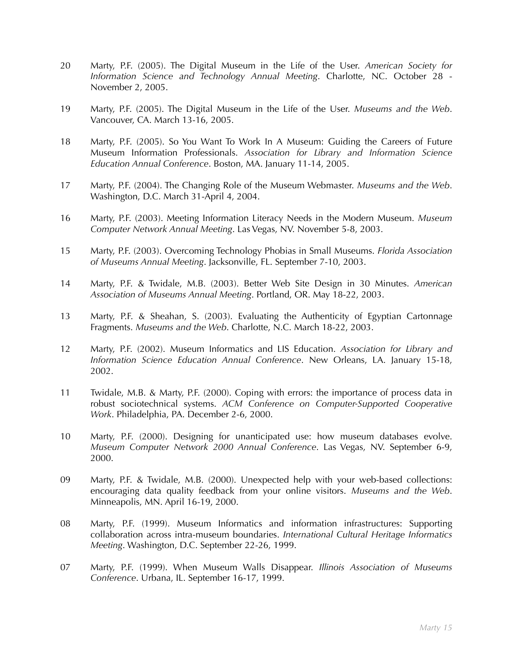- 20 Marty, P.F. (2005). The Digital Museum in the Life of the User. *American Society for Information Science and Technology Annual Meeting*. Charlotte, NC. October 28 - November 2, 2005.
- 19 Marty, P.F. (2005). The Digital Museum in the Life of the User. *Museums and the Web*. Vancouver, CA. March 13-16, 2005.
- 18 Marty, P.F. (2005). So You Want To Work In A Museum: Guiding the Careers of Future Museum Information Professionals. *Association for Library and Information Science Education Annual Conference*. Boston, MA. January 11-14, 2005.
- 17 Marty, P.F. (2004). The Changing Role of the Museum Webmaster. *Museums and the Web*. Washington, D.C. March 31-April 4, 2004.
- 16 Marty, P.F. (2003). Meeting Information Literacy Needs in the Modern Museum. *Museum Computer Network Annual Meeting*. Las Vegas, NV. November 5-8, 2003.
- 15 Marty, P.F. (2003). Overcoming Technology Phobias in Small Museums. *Florida Association of Museums Annual Meeting*. Jacksonville, FL. September 7-10, 2003.
- 14 Marty, P.F. & Twidale, M.B. (2003). Better Web Site Design in 30 Minutes. *American Association of Museums Annual Meeting*. Portland, OR. May 18-22, 2003.
- 13 Marty, P.F. & Sheahan, S. (2003). Evaluating the Authenticity of Egyptian Cartonnage Fragments. *Museums and the Web*. Charlotte, N.C. March 18-22, 2003.
- 12 Marty, P.F. (2002). Museum Informatics and LIS Education. *Association for Library and Information Science Education Annual Conference*. New Orleans, LA. January 15-18, 2002.
- 11 Twidale, M.B. & Marty, P.F. (2000). Coping with errors: the importance of process data in robust sociotechnical systems. *ACM Conference on Computer-Supported Cooperative Work*. Philadelphia, PA. December 2-6, 2000.
- 10 Marty, P.F. (2000). Designing for unanticipated use: how museum databases evolve. *Museum Computer Network 2000 Annual Conference*. Las Vegas, NV. September 6-9, 2000.
- 09 Marty, P.F. & Twidale, M.B. (2000). Unexpected help with your web-based collections: encouraging data quality feedback from your online visitors. *Museums and the Web*. Minneapolis, MN. April 16-19, 2000.
- 08 Marty, P.F. (1999). Museum Informatics and information infrastructures: Supporting collaboration across intra-museum boundaries. *International Cultural Heritage Informatics Meeting*. Washington, D.C. September 22-26, 1999.
- 07 Marty, P.F. (1999). When Museum Walls Disappear. *Illinois Association of Museums Conference*. Urbana, IL. September 16-17, 1999.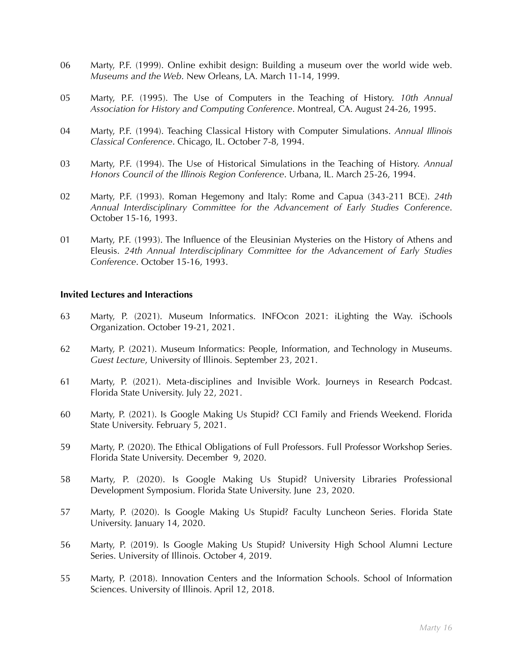- 06 Marty, P.F. (1999). Online exhibit design: Building a museum over the world wide web. *Museums and the Web*. New Orleans, LA. March 11-14, 1999.
- 05 Marty, P.F. (1995). The Use of Computers in the Teaching of History. *10th Annual Association for History and Computing Conference*. Montreal, CA. August 24-26, 1995.
- 04 Marty, P.F. (1994). Teaching Classical History with Computer Simulations. *Annual Illinois Classical Conference*. Chicago, IL. October 7-8, 1994.
- 03 Marty, P.F. (1994). The Use of Historical Simulations in the Teaching of History. *Annual Honors Council of the Illinois Region Conference*. Urbana, IL. March 25-26, 1994.
- 02 Marty, P.F. (1993). Roman Hegemony and Italy: Rome and Capua (343-211 BCE). *24th Annual Interdisciplinary Committee for the Advancement of Early Studies Conference*. October 15-16, 1993.
- 01 Marty, P.F. (1993). The Influence of the Eleusinian Mysteries on the History of Athens and Eleusis. *24th Annual Interdisciplinary Committee for the Advancement of Early Studies Conference*. October 15-16, 1993.

#### **Invited Lectures and Interactions**

- 63 Marty, P. (2021). Museum Informatics. INFOcon 2021: iLighting the Way. iSchools Organization. October 19-21, 2021.
- 62 Marty, P. (2021). Museum Informatics: People, Information, and Technology in Museums. *Guest Lecture*, University of Illinois. September 23, 2021.
- 61 Marty, P. (2021). Meta-disciplines and Invisible Work. Journeys in Research Podcast. Florida State University. July 22, 2021.
- 60 Marty, P. (2021). Is Google Making Us Stupid? CCI Family and Friends Weekend. Florida State University. February 5, 2021.
- 59 Marty, P. (2020). The Ethical Obligations of Full Professors. Full Professor Workshop Series. Florida State University. December 9, 2020.
- 58 Marty, P. (2020). Is Google Making Us Stupid? University Libraries Professional Development Symposium. Florida State University. June 23, 2020.
- 57 Marty, P. (2020). Is Google Making Us Stupid? Faculty Luncheon Series. Florida State University. January 14, 2020.
- 56 Marty, P. (2019). Is Google Making Us Stupid? University High School Alumni Lecture Series. University of Illinois. October 4, 2019.
- 55 Marty, P. (2018). Innovation Centers and the Information Schools. School of Information Sciences. University of Illinois. April 12, 2018.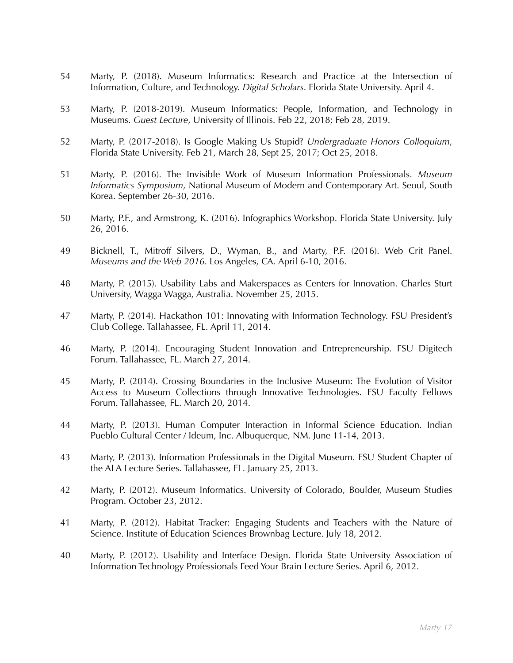- 54 Marty, P. (2018). Museum Informatics: Research and Practice at the Intersection of Information, Culture, and Technology. *Digital Scholars*. Florida State University. April 4.
- 53 Marty, P. (2018-2019). Museum Informatics: People, Information, and Technology in Museums. *Guest Lecture*, University of Illinois. Feb 22, 2018; Feb 28, 2019.
- 52 Marty, P. (2017-2018). Is Google Making Us Stupid? *Undergraduate Honors Colloquium*, Florida State University. Feb 21, March 28, Sept 25, 2017; Oct 25, 2018.
- 51 Marty, P. (2016). The Invisible Work of Museum Information Professionals. *Museum Informatics Symposium*, National Museum of Modern and Contemporary Art. Seoul, South Korea. September 26-30, 2016.
- 50 Marty, P.F., and Armstrong, K. (2016). Infographics Workshop. Florida State University. July 26, 2016.
- 49 Bicknell, T., Mitroff Silvers, D., Wyman, B., and Marty, P.F. (2016). Web Crit Panel. *Museums and the Web 2016*. Los Angeles, CA. April 6-10, 2016.
- 48 Marty, P. (2015). Usability Labs and Makerspaces as Centers for Innovation. Charles Sturt University, Wagga Wagga, Australia. November 25, 2015.
- 47 Marty, P. (2014). Hackathon 101: Innovating with Information Technology. FSU President's Club College. Tallahassee, FL. April 11, 2014.
- 46 Marty, P. (2014). Encouraging Student Innovation and Entrepreneurship. FSU Digitech Forum. Tallahassee, FL. March 27, 2014.
- 45 Marty, P. (2014). Crossing Boundaries in the Inclusive Museum: The Evolution of Visitor Access to Museum Collections through Innovative Technologies. FSU Faculty Fellows Forum. Tallahassee, FL. March 20, 2014.
- 44 Marty, P. (2013). Human Computer Interaction in Informal Science Education. Indian Pueblo Cultural Center / Ideum, Inc. Albuquerque, NM. June 11-14, 2013.
- 43 Marty, P. (2013). Information Professionals in the Digital Museum. FSU Student Chapter of the ALA Lecture Series. Tallahassee, FL. January 25, 2013.
- 42 Marty, P. (2012). Museum Informatics. University of Colorado, Boulder, Museum Studies Program. October 23, 2012.
- 41 Marty, P. (2012). Habitat Tracker: Engaging Students and Teachers with the Nature of Science. Institute of Education Sciences Brownbag Lecture. July 18, 2012.
- 40 Marty, P. (2012). Usability and Interface Design. Florida State University Association of Information Technology Professionals Feed Your Brain Lecture Series. April 6, 2012.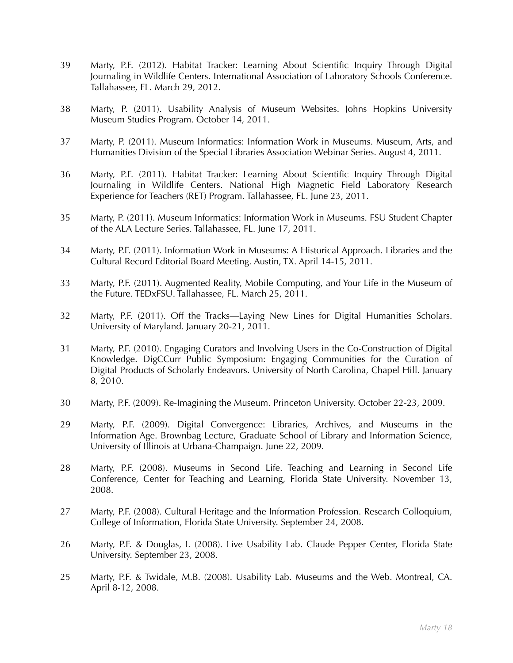- 39 Marty, P.F. (2012). Habitat Tracker: Learning About Scientific Inquiry Through Digital Journaling in Wildlife Centers. International Association of Laboratory Schools Conference. Tallahassee, FL. March 29, 2012.
- 38 Marty, P. (2011). Usability Analysis of Museum Websites. Johns Hopkins University Museum Studies Program. October 14, 2011.
- 37 Marty, P. (2011). Museum Informatics: Information Work in Museums. Museum, Arts, and Humanities Division of the Special Libraries Association Webinar Series. August 4, 2011.
- 36 Marty, P.F. (2011). Habitat Tracker: Learning About Scientific Inquiry Through Digital Journaling in Wildlife Centers. National High Magnetic Field Laboratory Research Experience for Teachers (RET) Program. Tallahassee, FL. June 23, 2011.
- 35 Marty, P. (2011). Museum Informatics: Information Work in Museums. FSU Student Chapter of the ALA Lecture Series. Tallahassee, FL. June 17, 2011.
- 34 Marty, P.F. (2011). Information Work in Museums: A Historical Approach. Libraries and the Cultural Record Editorial Board Meeting. Austin, TX. April 14-15, 2011.
- 33 Marty, P.F. (2011). Augmented Reality, Mobile Computing, and Your Life in the Museum of the Future. TEDxFSU. Tallahassee, FL. March 25, 2011.
- 32 Marty, P.F. (2011). Off the Tracks—Laying New Lines for Digital Humanities Scholars. University of Maryland. January 20-21, 2011.
- 31 Marty, P.F. (2010). Engaging Curators and Involving Users in the Co-Construction of Digital Knowledge. DigCCurr Public Symposium: Engaging Communities for the Curation of Digital Products of Scholarly Endeavors. University of North Carolina, Chapel Hill. January 8, 2010.
- 30 Marty, P.F. (2009). Re-Imagining the Museum. Princeton University. October 22-23, 2009.
- 29 Marty, P.F. (2009). Digital Convergence: Libraries, Archives, and Museums in the Information Age. Brownbag Lecture, Graduate School of Library and Information Science, University of Illinois at Urbana-Champaign. June 22, 2009.
- 28 Marty, P.F. (2008). Museums in Second Life. Teaching and Learning in Second Life Conference, Center for Teaching and Learning, Florida State University. November 13, 2008.
- 27 Marty, P.F. (2008). Cultural Heritage and the Information Profession. Research Colloquium, College of Information, Florida State University. September 24, 2008.
- 26 Marty, P.F. & Douglas, I. (2008). Live Usability Lab. Claude Pepper Center, Florida State University. September 23, 2008.
- 25 Marty, P.F. & Twidale, M.B. (2008). Usability Lab. Museums and the Web. Montreal, CA. April 8-12, 2008.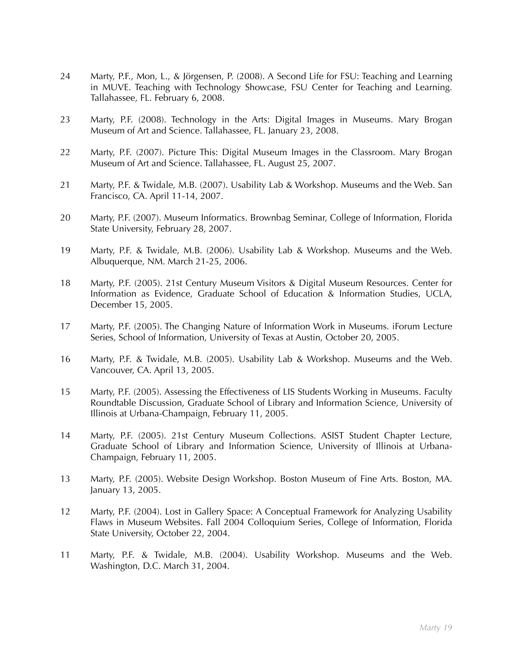- 24 Marty, P.F., Mon, L., & Jörgensen, P. (2008). A Second Life for FSU: Teaching and Learning in MUVE. Teaching with Technology Showcase, FSU Center for Teaching and Learning. Tallahassee, FL. February 6, 2008.
- 23 Marty, P.F. (2008). Technology in the Arts: Digital Images in Museums. Mary Brogan Museum of Art and Science. Tallahassee, FL. January 23, 2008.
- 22 Marty, P.F. (2007). Picture This: Digital Museum Images in the Classroom. Mary Brogan Museum of Art and Science. Tallahassee, FL. August 25, 2007.
- 21 Marty, P.F. & Twidale, M.B. (2007). Usability Lab & Workshop. Museums and the Web. San Francisco, CA. April 11-14, 2007.
- 20 Marty, P.F. (2007). Museum Informatics. Brownbag Seminar, College of Information, Florida State University, February 28, 2007.
- 19 Marty, P.F. & Twidale, M.B. (2006). Usability Lab & Workshop. Museums and the Web. Albuquerque, NM. March 21-25, 2006.
- 18 Marty, P.F. (2005). 21st Century Museum Visitors & Digital Museum Resources. Center for Information as Evidence, Graduate School of Education & Information Studies, UCLA, December 15, 2005.
- 17 Marty, P.F. (2005). The Changing Nature of Information Work in Museums. iForum Lecture Series, School of Information, University of Texas at Austin, October 20, 2005.
- 16 Marty, P.F. & Twidale, M.B. (2005). Usability Lab & Workshop. Museums and the Web. Vancouver, CA. April 13, 2005.
- 15 Marty, P.F. (2005). Assessing the Effectiveness of LIS Students Working in Museums. Faculty Roundtable Discussion, Graduate School of Library and Information Science, University of Illinois at Urbana-Champaign, February 11, 2005.
- 14 Marty, P.F. (2005). 21st Century Museum Collections. ASIST Student Chapter Lecture, Graduate School of Library and Information Science, University of Illinois at Urbana-Champaign, February 11, 2005.
- 13 Marty, P.F. (2005). Website Design Workshop. Boston Museum of Fine Arts. Boston, MA. January 13, 2005.
- 12 Marty, P.F. (2004). Lost in Gallery Space: A Conceptual Framework for Analyzing Usability Flaws in Museum Websites. Fall 2004 Colloquium Series, College of Information, Florida State University, October 22, 2004.
- 11 Marty, P.F. & Twidale, M.B. (2004). Usability Workshop. Museums and the Web. Washington, D.C. March 31, 2004.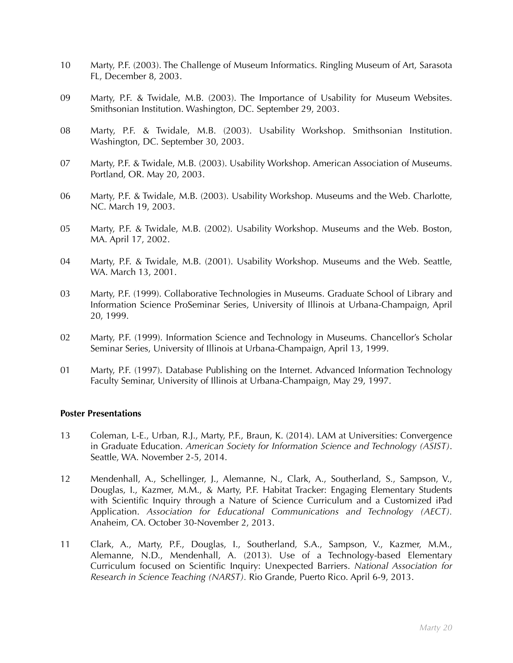- 10 Marty, P.F. (2003). The Challenge of Museum Informatics. Ringling Museum of Art, Sarasota FL, December 8, 2003.
- 09 Marty, P.F. & Twidale, M.B. (2003). The Importance of Usability for Museum Websites. Smithsonian Institution. Washington, DC. September 29, 2003.
- 08 Marty, P.F. & Twidale, M.B. (2003). Usability Workshop. Smithsonian Institution. Washington, DC. September 30, 2003.
- 07 Marty, P.F. & Twidale, M.B. (2003). Usability Workshop. American Association of Museums. Portland, OR. May 20, 2003.
- 06 Marty, P.F. & Twidale, M.B. (2003). Usability Workshop. Museums and the Web. Charlotte, NC. March 19, 2003.
- 05 Marty, P.F. & Twidale, M.B. (2002). Usability Workshop. Museums and the Web. Boston, MA. April 17, 2002.
- 04 Marty, P.F. & Twidale, M.B. (2001). Usability Workshop. Museums and the Web. Seattle, WA. March 13, 2001.
- 03 Marty, P.F. (1999). Collaborative Technologies in Museums. Graduate School of Library and Information Science ProSeminar Series, University of Illinois at Urbana-Champaign, April 20, 1999.
- 02 Marty, P.F. (1999). Information Science and Technology in Museums. Chancellor's Scholar Seminar Series, University of Illinois at Urbana-Champaign, April 13, 1999.
- 01 Marty, P.F. (1997). Database Publishing on the Internet. Advanced Information Technology Faculty Seminar, University of Illinois at Urbana-Champaign, May 29, 1997.

### **Poster Presentations**

- 13 Coleman, L-E., Urban, R.J., Marty, P.F., Braun, K. (2014). LAM at Universities: Convergence in Graduate Education. *American Society for Information Science and Technology (ASIST)*. Seattle, WA. November 2-5, 2014.
- 12 Mendenhall, A., Schellinger, J., Alemanne, N., Clark, A., Southerland, S., Sampson, V., Douglas, I., Kazmer, M.M., & Marty, P.F. Habitat Tracker: Engaging Elementary Students with Scientific Inquiry through a Nature of Science Curriculum and a Customized iPad Application. *Association for Educational Communications and Technology (AECT).* Anaheim, CA. October 30-November 2, 2013.
- 11 Clark, A., Marty, P.F., Douglas, I., Southerland, S.A., Sampson, V., Kazmer, M.M., Alemanne, N.D., Mendenhall, A. (2013). Use of a Technology-based Elementary Curriculum focused on Scientific Inquiry: Unexpected Barriers. *National Association for Research in Science Teaching (NARST).* Rio Grande, Puerto Rico. April 6-9, 2013.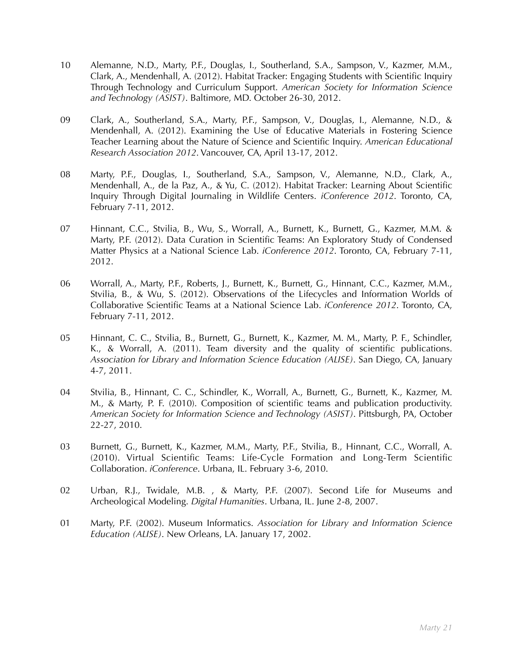- 10 Alemanne, N.D., Marty, P.F., Douglas, I., Southerland, S.A., Sampson, V., Kazmer, M.M., Clark, A., Mendenhall, A. (2012). Habitat Tracker: Engaging Students with Scientific Inquiry Through Technology and Curriculum Support. *American Society for Information Science and Technology (ASIST)*. Baltimore, MD. October 26-30, 2012.
- 09 Clark, A., Southerland, S.A., Marty, P.F., Sampson, V., Douglas, I., Alemanne, N.D., & Mendenhall, A. (2012). Examining the Use of Educative Materials in Fostering Science Teacher Learning about the Nature of Science and Scientific Inquiry. *American Educational Research Association 2012*. Vancouver, CA, April 13-17, 2012.
- 08 Marty, P.F., Douglas, I., Southerland, S.A., Sampson, V., Alemanne, N.D., Clark, A., Mendenhall, A., de la Paz, A., & Yu, C. (2012). Habitat Tracker: Learning About Scientific Inquiry Through Digital Journaling in Wildlife Centers. *iConference 2012*. Toronto, CA, February 7-11, 2012.
- 07 Hinnant, C.C., Stvilia, B., Wu, S., Worrall, A., Burnett, K., Burnett, G., Kazmer, M.M. & Marty, P.F. (2012). Data Curation in Scientific Teams: An Exploratory Study of Condensed Matter Physics at a National Science Lab. *iConference 2012*. Toronto, CA, February 7-11, 2012.
- 06 Worrall, A., Marty, P.F., Roberts, J., Burnett, K., Burnett, G., Hinnant, C.C., Kazmer, M.M., Stvilia, B., & Wu, S. (2012). Observations of the Lifecycles and Information Worlds of Collaborative Scientific Teams at a National Science Lab. *iConference 2012*. Toronto, CA, February 7-11, 2012.
- 05 Hinnant, C. C., Stvilia, B., Burnett, G., Burnett, K., Kazmer, M. M., Marty, P. F., Schindler, K., & Worrall, A. (2011). Team diversity and the quality of scientific publications. *Association for Library and Information Science Education (ALISE)*. San Diego, CA, January 4-7, 2011.
- 04 Stvilia, B., Hinnant, C. C., Schindler, K., Worrall, A., Burnett, G., Burnett, K., Kazmer, M. M., & Marty, P. F. (2010). Composition of scientific teams and publication productivity. *American Society for Information Science and Technology (ASIST)*. Pittsburgh, PA, October 22-27, 2010.
- 03 Burnett, G., Burnett, K., Kazmer, M.M., Marty, P.F., Stvilia, B., Hinnant, C.C., Worrall, A. (2010). Virtual Scientific Teams: Life-Cycle Formation and Long-Term Scientific Collaboration. *iConference*. Urbana, IL. February 3-6, 2010.
- 02 Urban, R.J., Twidale, M.B. , & Marty, P.F. (2007). Second Life for Museums and Archeological Modeling. *Digital Humanities*. Urbana, IL. June 2-8, 2007.
- 01 Marty, P.F. (2002). Museum Informatics. *Association for Library and Information Science Education (ALISE)*. New Orleans, LA. January 17, 2002.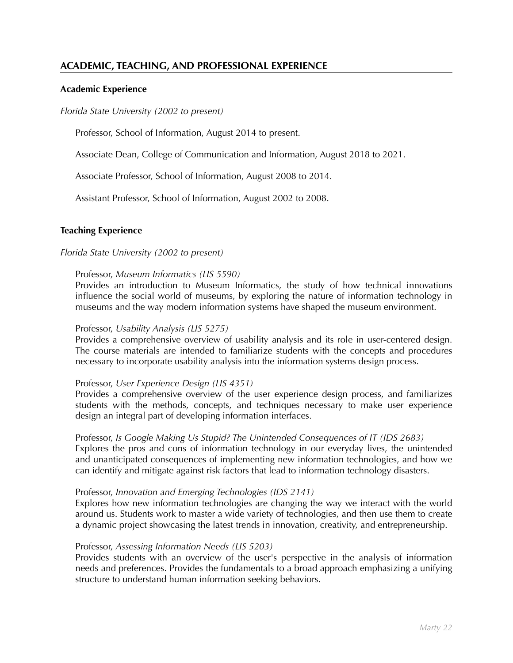## **ACADEMIC, TEACHING, AND PROFESSIONAL EXPERIENCE**

## **Academic Experience**

#### *Florida State University (2002 to present)*

Professor, School of Information, August 2014 to present.

Associate Dean, College of Communication and Information, August 2018 to 2021.

Associate Professor, School of Information, August 2008 to 2014.

Assistant Professor, School of Information, August 2002 to 2008.

## **Teaching Experience**

### *Florida State University (2002 to present)*

#### Professor, *Museum Informatics (LIS 5590)*

Provides an introduction to Museum Informatics, the study of how technical innovations influence the social world of museums, by exploring the nature of information technology in museums and the way modern information systems have shaped the museum environment.

#### Professor, *Usability Analysis (LIS 5275)*

Provides a comprehensive overview of usability analysis and its role in user-centered design. The course materials are intended to familiarize students with the concepts and procedures necessary to incorporate usability analysis into the information systems design process.

### Professor, *User Experience Design (LIS 4351)*

Provides a comprehensive overview of the user experience design process, and familiarizes students with the methods, concepts, and techniques necessary to make user experience design an integral part of developing information interfaces.

### Professor, *Is Google Making Us Stupid? The Unintended Consequences of IT (IDS 2683)*

Explores the pros and cons of information technology in our everyday lives, the unintended and unanticipated consequences of implementing new information technologies, and how we can identify and mitigate against risk factors that lead to information technology disasters.

### Professor, *Innovation and Emerging Technologies (IDS 2141)*

Explores how new information technologies are changing the way we interact with the world around us. Students work to master a wide variety of technologies, and then use them to create a dynamic project showcasing the latest trends in innovation, creativity, and entrepreneurship.

#### Professor, *Assessing Information Needs (LIS 5203)*

Provides students with an overview of the user's perspective in the analysis of information needs and preferences. Provides the fundamentals to a broad approach emphasizing a unifying structure to understand human information seeking behaviors.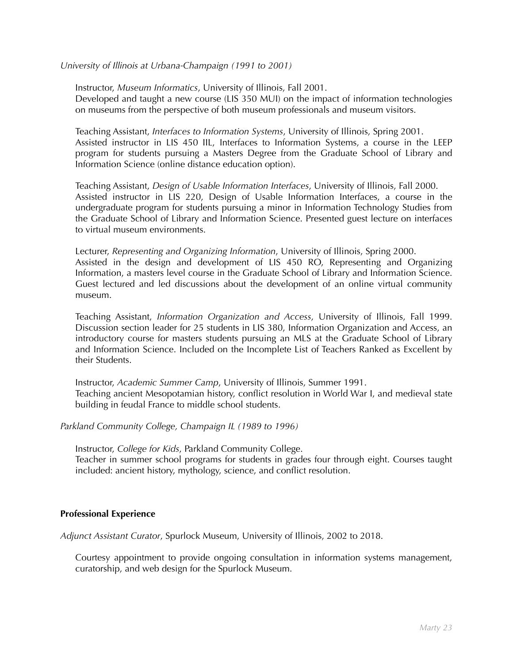*University of Illinois at Urbana-Champaign (1991 to 2001)*

Instructor, *Museum Informatics*, University of Illinois, Fall 2001.

Developed and taught a new course (LIS 350 MUI) on the impact of information technologies on museums from the perspective of both museum professionals and museum visitors.

Teaching Assistant, *Interfaces to Information Systems*, University of Illinois, Spring 2001. Assisted instructor in LIS 450 IIL, Interfaces to Information Systems, a course in the LEEP program for students pursuing a Masters Degree from the Graduate School of Library and Information Science (online distance education option).

Teaching Assistant, *Design of Usable Information Interfaces*, University of Illinois, Fall 2000. Assisted instructor in LIS 220, Design of Usable Information Interfaces, a course in the undergraduate program for students pursuing a minor in Information Technology Studies from the Graduate School of Library and Information Science. Presented guest lecture on interfaces to virtual museum environments.

Lecturer, *Representing and Organizing Information*, University of Illinois, Spring 2000. Assisted in the design and development of LIS 450 RO, Representing and Organizing Information, a masters level course in the Graduate School of Library and Information Science. Guest lectured and led discussions about the development of an online virtual community museum.

Teaching Assistant, *Information Organization and Access*, University of Illinois, Fall 1999. Discussion section leader for 25 students in LIS 380, Information Organization and Access, an introductory course for masters students pursuing an MLS at the Graduate School of Library and Information Science. Included on the Incomplete List of Teachers Ranked as Excellent by their Students.

Instructor, *Academic Summer Camp*, University of Illinois, Summer 1991. Teaching ancient Mesopotamian history, conflict resolution in World War I, and medieval state building in feudal France to middle school students.

*Parkland Community College, Champaign IL (1989 to 1996)*

Instructor, *College for Kids*, Parkland Community College.

Teacher in summer school programs for students in grades four through eight. Courses taught included: ancient history, mythology, science, and conflict resolution.

### **Professional Experience**

*Adjunct Assistant Curator*, Spurlock Museum, University of Illinois, 2002 to 2018.

Courtesy appointment to provide ongoing consultation in information systems management, curatorship, and web design for the Spurlock Museum.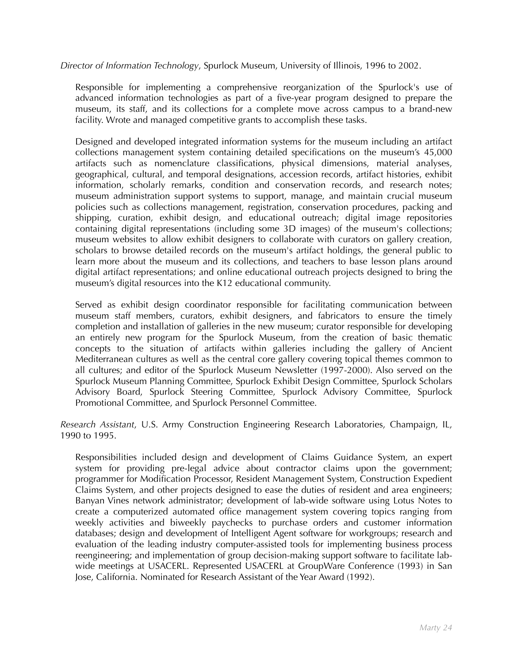*Director of Information Technology*, Spurlock Museum, University of Illinois, 1996 to 2002.

Responsible for implementing a comprehensive reorganization of the Spurlock's use of advanced information technologies as part of a five-year program designed to prepare the museum, its staff, and its collections for a complete move across campus to a brand-new facility. Wrote and managed competitive grants to accomplish these tasks.

Designed and developed integrated information systems for the museum including an artifact collections management system containing detailed specifications on the museum's 45,000 artifacts such as nomenclature classifications, physical dimensions, material analyses, geographical, cultural, and temporal designations, accession records, artifact histories, exhibit information, scholarly remarks, condition and conservation records, and research notes; museum administration support systems to support, manage, and maintain crucial museum policies such as collections management, registration, conservation procedures, packing and shipping, curation, exhibit design, and educational outreach; digital image repositories containing digital representations (including some 3D images) of the museum's collections; museum websites to allow exhibit designers to collaborate with curators on gallery creation, scholars to browse detailed records on the museum's artifact holdings, the general public to learn more about the museum and its collections, and teachers to base lesson plans around digital artifact representations; and online educational outreach projects designed to bring the museum's digital resources into the K12 educational community.

Served as exhibit design coordinator responsible for facilitating communication between museum staff members, curators, exhibit designers, and fabricators to ensure the timely completion and installation of galleries in the new museum; curator responsible for developing an entirely new program for the Spurlock Museum, from the creation of basic thematic concepts to the situation of artifacts within galleries including the gallery of Ancient Mediterranean cultures as well as the central core gallery covering topical themes common to all cultures; and editor of the Spurlock Museum Newsletter (1997-2000). Also served on the Spurlock Museum Planning Committee, Spurlock Exhibit Design Committee, Spurlock Scholars Advisory Board, Spurlock Steering Committee, Spurlock Advisory Committee, Spurlock Promotional Committee, and Spurlock Personnel Committee.

*Research Assistant*, U.S. Army Construction Engineering Research Laboratories, Champaign, IL, 1990 to 1995.

Responsibilities included design and development of Claims Guidance System, an expert system for providing pre-legal advice about contractor claims upon the government; programmer for Modification Processor, Resident Management System, Construction Expedient Claims System, and other projects designed to ease the duties of resident and area engineers; Banyan Vines network administrator; development of lab-wide software using Lotus Notes to create a computerized automated office management system covering topics ranging from weekly activities and biweekly paychecks to purchase orders and customer information databases; design and development of Intelligent Agent software for workgroups; research and evaluation of the leading industry computer-assisted tools for implementing business process reengineering; and implementation of group decision-making support software to facilitate labwide meetings at USACERL. Represented USACERL at GroupWare Conference (1993) in San Jose, California. Nominated for Research Assistant of the Year Award (1992).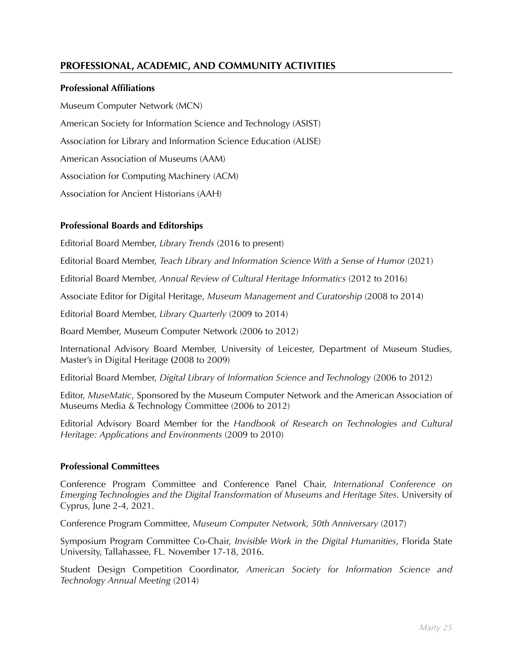## **PROFESSIONAL, ACADEMIC, AND COMMUNITY ACTIVITIES**

## **Professional Affiliations**

Museum Computer Network (MCN) American Society for Information Science and Technology (ASIST) Association for Library and Information Science Education (ALISE) American Association of Museums (AAM) Association for Computing Machinery (ACM) Association for Ancient Historians (AAH)

## **Professional Boards and Editorships**

Editorial Board Member, *Library Trends* (2016 to present)

Editorial Board Member, *Teach Library and Information Science With a Sense of Humor* (2021)

Editorial Board Member, *Annual Review of Cultural Heritage Informatics* (2012 to 2016)

Associate Editor for Digital Heritage, *Museum Management and Curatorship* (2008 to 2014)

Editorial Board Member, *Library Quarterly* (2009 to 2014)

Board Member, Museum Computer Network (2006 to 2012)

International Advisory Board Member, University of Leicester, Department of Museum Studies, Master's in Digital Heritage **(**2008 to 2009)

Editorial Board Member, *Digital Library of Information Science and Technology* (2006 to 2012)

Editor, *MuseMatic*, Sponsored by the Museum Computer Network and the American Association of Museums Media & Technology Committee (2006 to 2012)

Editorial Advisory Board Member for the *Handbook of Research on Technologies and Cultural Heritage: Applications and Environments* (2009 to 2010)

### **Professional Committees**

Conference Program Committee and Conference Panel Chair, *International Conference on Emerging Technologies and the Digital Transformation of Museums and Heritage Sites.* University of Cyprus, June 2-4, 2021.

Conference Program Committee, *Museum Computer Network, 50th Anniversary* (2017)

Symposium Program Committee Co-Chair, *Invisible Work in the Digital Humanities*, Florida State University, Tallahassee, FL. November 17-18, 2016.

Student Design Competition Coordinator, *American Society for Information Science and Technology Annual Meeting* (2014)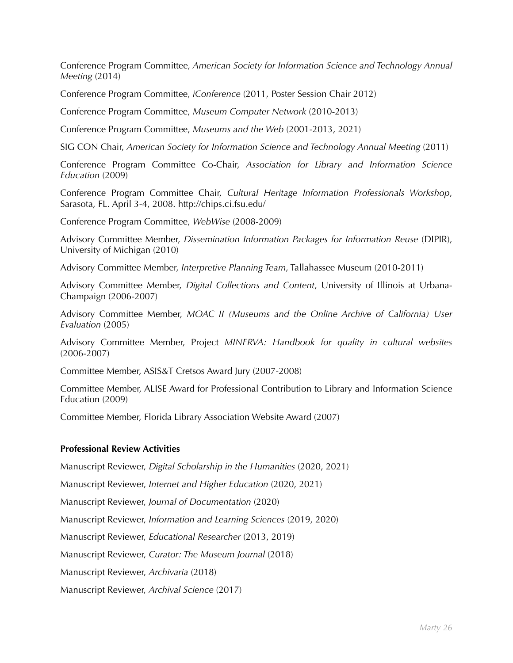Conference Program Committee, *American Society for Information Science and Technology Annual Meeting* (2014)

Conference Program Committee, *iConference* (2011, Poster Session Chair 2012)

Conference Program Committee, *Museum Computer Network* (2010-2013)

Conference Program Committee, *Museums and the Web* (2001-2013, 2021)

SIG CON Chair, *American Society for Information Science and Technology Annual Meeting (2011)* 

Conference Program Committee Co-Chair, *Association for Library and Information Science Education* (2009)

Conference Program Committee Chair, *Cultural Heritage Information Professionals Workshop*, Sarasota, FL. April 3-4, 2008. http://chips.ci.fsu.edu/

Conference Program Committee, *WebWise* (2008-2009)

Advisory Committee Member, *Dissemination Information Packages for Information Reuse* (DIPIR), University of Michigan (2010)

Advisory Committee Member, *Interpretive Planning Team*, Tallahassee Museum (2010-2011)

Advisory Committee Member, *Digital Collections and Content*, University of Illinois at Urbana-Champaign (2006-2007)

Advisory Committee Member, *MOAC II (Museums and the Online Archive of California) User Evaluation* (2005)

Advisory Committee Member, Project *MINERVA: Handbook for quality in cultural websites* (2006-2007)

Committee Member, ASIS&T Cretsos Award Jury (2007-2008)

Committee Member, ALISE Award for Professional Contribution to Library and Information Science Education (2009)

Committee Member, Florida Library Association Website Award (2007)

### **Professional Review Activities**

Manuscript Reviewer, *Digital Scholarship in the Humanities* (2020, 2021)

Manuscript Reviewer, *Internet and Higher Education* (2020, 2021)

Manuscript Reviewer, *Journal of Documentation* (2020)

Manuscript Reviewer, *Information and Learning Sciences* (2019, 2020)

Manuscript Reviewer, *Educational Researcher* (2013, 2019)

Manuscript Reviewer, *Curator: The Museum Journal* (2018)

Manuscript Reviewer, *Archivaria* (2018)

Manuscript Reviewer, *Archival Science* (2017)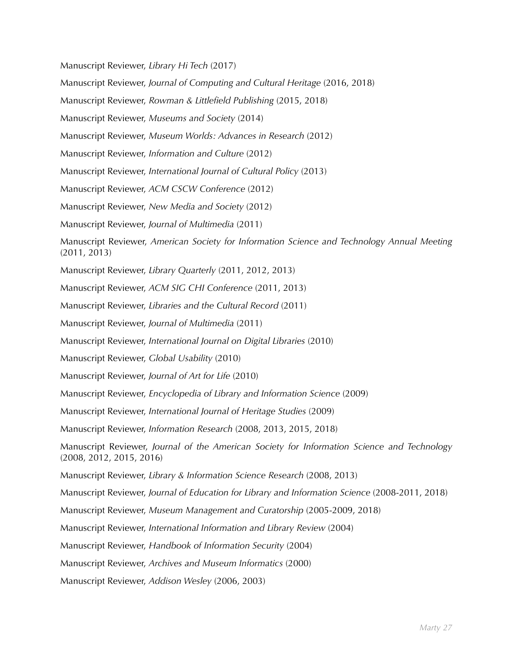Manuscript Reviewer, *Library Hi Tech* (2017) Manuscript Reviewer, *Journal of Computing and Cultural Heritage* (2016, 2018) Manuscript Reviewer, *Rowman & Littlefield Publishing* (2015, 2018) Manuscript Reviewer, *Museums and Society* (2014) Manuscript Reviewer, *Museum Worlds: Advances in Research* (2012) Manuscript Reviewer, *Information and Culture* (2012) Manuscript Reviewer, *International Journal of Cultural Policy* (2013) Manuscript Reviewer, *ACM CSCW Conference* (2012) Manuscript Reviewer, *New Media and Society* (2012) Manuscript Reviewer, *Journal of Multimedia* (2011) Manuscript Reviewer, *American Society for Information Science and Technology Annual Meeting*  (2011, 2013) Manuscript Reviewer, *Library Quarterly* (2011, 2012, 2013) Manuscript Reviewer, *ACM SIG CHI Conference* (2011, 2013) Manuscript Reviewer, *Libraries and the Cultural Record* (2011) Manuscript Reviewer, *Journal of Multimedia* (2011) Manuscript Reviewer, *International Journal on Digital Libraries* (2010) Manuscript Reviewer, *Global Usability* (2010) Manuscript Reviewer, *Journal of Art for Life* (2010) Manuscript Reviewer, *Encyclopedia of Library and Information Science* (2009) Manuscript Reviewer, *International Journal of Heritage Studies* (2009) Manuscript Reviewer, *Information Research* (2008, 2013, 2015, 2018) Manuscript Reviewer, *Journal of the American Society for Information Science and Technology* (2008, 2012, 2015, 2016) Manuscript Reviewer, *Library & Information Science Research* (2008, 2013) Manuscript Reviewer, *Journal of Education for Library and Information Science* (2008-2011, 2018) Manuscript Reviewer, *Museum Management and Curatorship* (2005-2009, 2018) Manuscript Reviewer, *International Information and Library Review* (2004) Manuscript Reviewer, *Handbook of Information Security* (2004) Manuscript Reviewer, *Archives and Museum Informatics* (2000) Manuscript Reviewer, *Addison Wesley* (2006, 2003)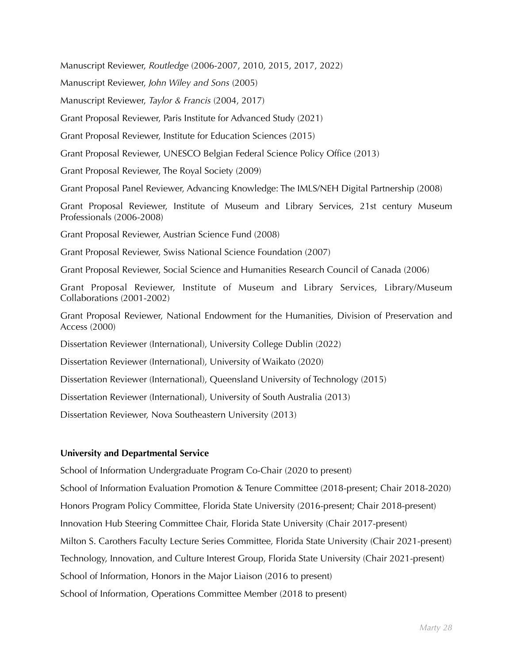Manuscript Reviewer, *Routledge* (2006-2007, 2010, 2015, 2017, 2022)

Manuscript Reviewer, *John Wiley and Sons* (2005)

Manuscript Reviewer, *Taylor & Francis* (2004, 2017)

Grant Proposal Reviewer, Paris Institute for Advanced Study (2021)

Grant Proposal Reviewer, Institute for Education Sciences (2015)

Grant Proposal Reviewer, UNESCO Belgian Federal Science Policy Office (2013)

Grant Proposal Reviewer, The Royal Society (2009)

Grant Proposal Panel Reviewer, Advancing Knowledge: The IMLS/NEH Digital Partnership (2008)

Grant Proposal Reviewer, Institute of Museum and Library Services, 21st century Museum Professionals (2006-2008)

Grant Proposal Reviewer, Austrian Science Fund (2008)

Grant Proposal Reviewer, Swiss National Science Foundation (2007)

Grant Proposal Reviewer, Social Science and Humanities Research Council of Canada (2006)

Grant Proposal Reviewer, Institute of Museum and Library Services, Library/Museum Collaborations (2001-2002)

Grant Proposal Reviewer, National Endowment for the Humanities, Division of Preservation and Access (2000)

Dissertation Reviewer (International), University College Dublin (2022)

Dissertation Reviewer (International), University of Waikato (2020)

Dissertation Reviewer (International), Queensland University of Technology (2015)

Dissertation Reviewer (International), University of South Australia (2013)

Dissertation Reviewer, Nova Southeastern University (2013)

### **University and Departmental Service**

School of Information Undergraduate Program Co-Chair (2020 to present) School of Information Evaluation Promotion & Tenure Committee (2018-present; Chair 2018-2020) Honors Program Policy Committee, Florida State University (2016-present; Chair 2018-present) Innovation Hub Steering Committee Chair, Florida State University (Chair 2017-present) Milton S. Carothers Faculty Lecture Series Committee, Florida State University (Chair 2021-present) Technology, Innovation, and Culture Interest Group, Florida State University (Chair 2021-present) School of Information, Honors in the Major Liaison (2016 to present) School of Information, Operations Committee Member (2018 to present)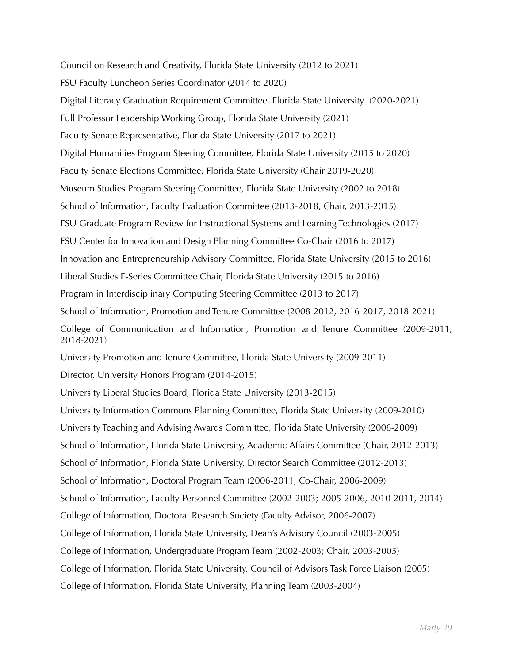Council on Research and Creativity, Florida State University (2012 to 2021)

FSU Faculty Luncheon Series Coordinator (2014 to 2020)

Digital Literacy Graduation Requirement Committee, Florida State University (2020-2021)

Full Professor Leadership Working Group, Florida State University (2021)

Faculty Senate Representative, Florida State University (2017 to 2021)

Digital Humanities Program Steering Committee, Florida State University (2015 to 2020)

Faculty Senate Elections Committee, Florida State University (Chair 2019-2020)

Museum Studies Program Steering Committee, Florida State University (2002 to 2018)

School of Information, Faculty Evaluation Committee (2013-2018, Chair, 2013-2015)

FSU Graduate Program Review for Instructional Systems and Learning Technologies (2017)

FSU Center for Innovation and Design Planning Committee Co-Chair (2016 to 2017)

Innovation and Entrepreneurship Advisory Committee, Florida State University (2015 to 2016)

Liberal Studies E-Series Committee Chair, Florida State University (2015 to 2016)

Program in Interdisciplinary Computing Steering Committee (2013 to 2017)

School of Information, Promotion and Tenure Committee (2008-2012, 2016-2017, 2018-2021)

College of Communication and Information, Promotion and Tenure Committee (2009-2011, 2018-2021)

University Promotion and Tenure Committee, Florida State University (2009-2011)

Director, University Honors Program (2014-2015)

University Liberal Studies Board, Florida State University (2013-2015)

University Information Commons Planning Committee, Florida State University (2009-2010)

University Teaching and Advising Awards Committee, Florida State University (2006-2009)

School of Information, Florida State University, Academic Affairs Committee (Chair, 2012-2013)

School of Information, Florida State University, Director Search Committee (2012-2013)

School of Information, Doctoral Program Team (2006-2011; Co-Chair, 2006-2009)

School of Information, Faculty Personnel Committee (2002-2003; 2005-2006, 2010-2011, 2014)

College of Information, Doctoral Research Society (Faculty Advisor, 2006-2007)

College of Information, Florida State University, Dean's Advisory Council (2003-2005)

College of Information, Undergraduate Program Team (2002-2003; Chair, 2003-2005)

College of Information, Florida State University, Council of Advisors Task Force Liaison (2005)

College of Information, Florida State University, Planning Team (2003-2004)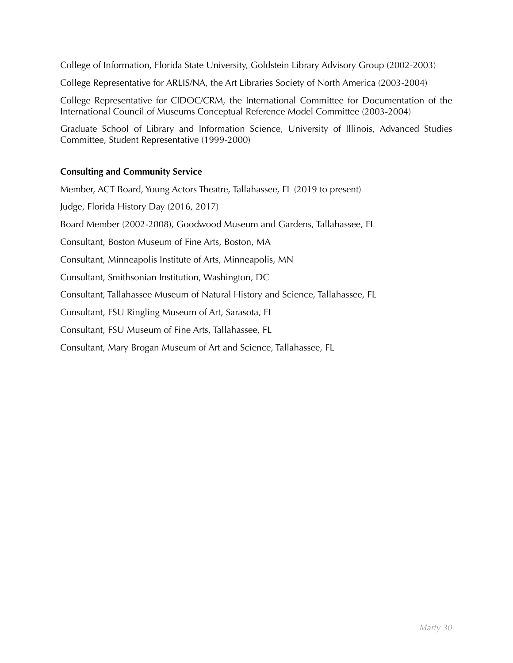College of Information, Florida State University, Goldstein Library Advisory Group (2002-2003)

College Representative for ARLIS/NA, the Art Libraries Society of North America (2003-2004)

College Representative for CIDOC/CRM, the International Committee for Documentation of the International Council of Museums Conceptual Reference Model Committee (2003-2004)

Graduate School of Library and Information Science, University of Illinois, Advanced Studies Committee, Student Representative (1999-2000)

## **Consulting and Community Service**

Member, ACT Board, Young Actors Theatre, Tallahassee, FL (2019 to present) Judge, Florida History Day (2016, 2017) Board Member (2002-2008), Goodwood Museum and Gardens, Tallahassee, FL Consultant, Boston Museum of Fine Arts, Boston, MA Consultant, Minneapolis Institute of Arts, Minneapolis, MN Consultant, Smithsonian Institution, Washington, DC Consultant, Tallahassee Museum of Natural History and Science, Tallahassee, FL Consultant, FSU Ringling Museum of Art, Sarasota, FL Consultant, FSU Museum of Fine Arts, Tallahassee, FL

Consultant, Mary Brogan Museum of Art and Science, Tallahassee, FL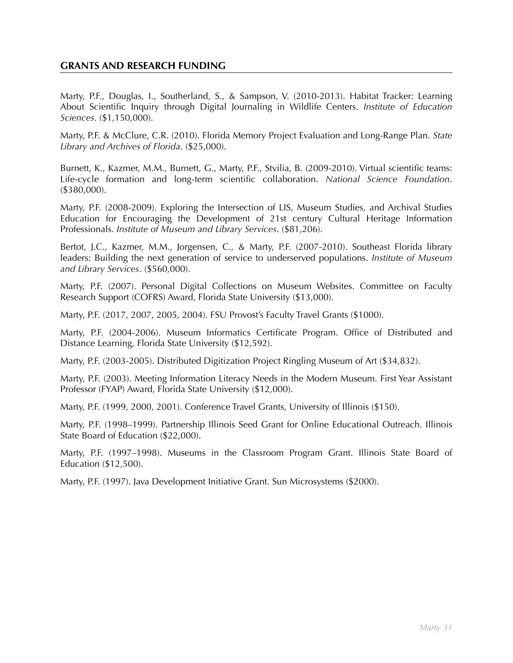## **GRANTS AND RESEARCH FUNDING**

Marty, P.F., Douglas, I., Southerland, S., & Sampson, V. (2010-2013). Habitat Tracker: Learning About Scientific Inquiry through Digital Journaling in Wildlife Centers. *Institute of Education Sciences*. (\$1,150,000).

Marty, P.F. & McClure, C.R. (2010). Florida Memory Project Evaluation and Long-Range Plan. *State Library and Archives of Florida*. (\$25,000).

Burnett, K., Kazmer, M.M., Burnett, G., Marty, P.F., Stvilia, B. (2009-2010). Virtual scientific teams: Life-cycle formation and long-term scientific collaboration. *National Science Foundation*. (\$380,000).

Marty, P.F. (2008-2009). Exploring the Intersection of LIS, Museum Studies, and Archival Studies Education for Encouraging the Development of 21st century Cultural Heritage Information Professionals. *Institute of Museum and Library Services*. (\$81,206).

Bertot, J.C., Kazmer, M.M., Jorgensen, C., & Marty, P.F. (2007-2010). Southeast Florida library leaders: Building the next generation of service to underserved populations. *Institute of Museum and Library Services*. (\$560,000).

Marty, P.F. (2007). Personal Digital Collections on Museum Websites. Committee on Faculty Research Support (COFRS) Award, Florida State University (\$13,000).

Marty, P.F. (2017, 2007, 2005, 2004). FSU Provost's Faculty Travel Grants (\$1000).

Marty, P.F. (2004-2006). Museum Informatics Certificate Program. Office of Distributed and Distance Learning, Florida State University (\$12,592).

Marty, P.F. (2003-2005). Distributed Digitization Project Ringling Museum of Art (\$34,832).

Marty, P.F. (2003). Meeting Information Literacy Needs in the Modern Museum. First Year Assistant Professor (FYAP) Award, Florida State University (\$12,000).

Marty, P.F. (1999, 2000, 2001). Conference Travel Grants, University of Illinois (\$150).

Marty, P.F. (1998–1999). Partnership Illinois Seed Grant for Online Educational Outreach. Illinois State Board of Education (\$22,000).

Marty, P.F. (1997–1998). Museums in the Classroom Program Grant. Illinois State Board of Education (\$12,500).

Marty, P.F. (1997). Java Development Initiative Grant. Sun Microsystems (\$2000).